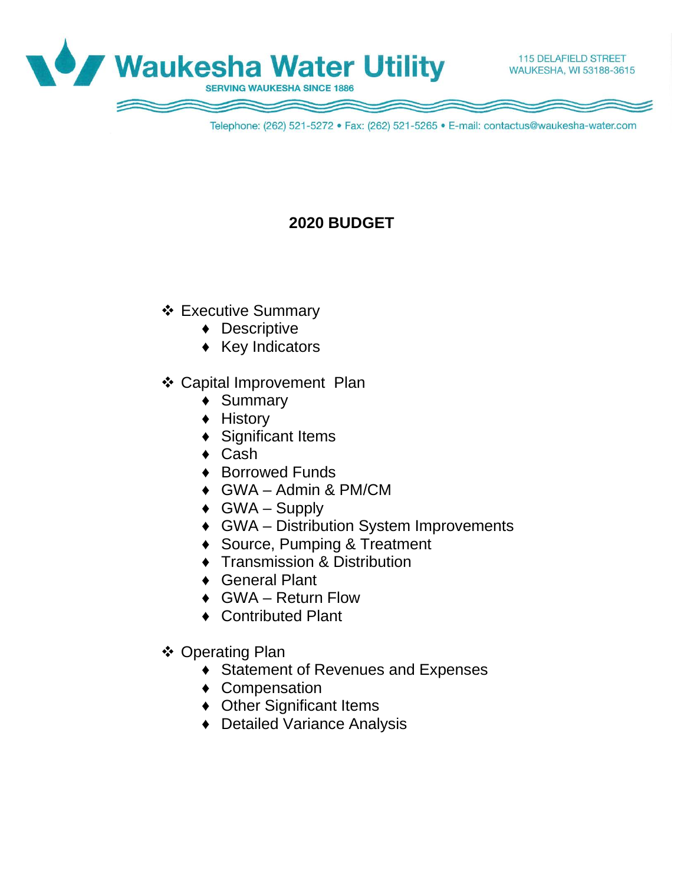

Telephone: (262) 521-5272 · Fax: (262) 521-5265 · E-mail: contactus@waukesha-water.com

# **2020 BUDGET**

- Executive Summary
	- ♦ Descriptive
	- ♦ Key Indicators
- Capital Improvement Plan
	- ♦ Summary
	- ♦ History
	- Significant Items
	- ♦ Cash
	- ♦ Borrowed Funds
	- ♦ GWA Admin & PM/CM
	- $\triangleleft$  GWA Supply
	- ♦ GWA Distribution System Improvements
	- ♦ Source, Pumping & Treatment
	- ♦ Transmission & Distribution
	- ♦ General Plant
	- ♦ GWA Return Flow
	- ♦ Contributed Plant
- ❖ Operating Plan
	- ♦ Statement of Revenues and Expenses
	- ♦ Compensation
	- ♦ Other Significant Items
	- ♦ Detailed Variance Analysis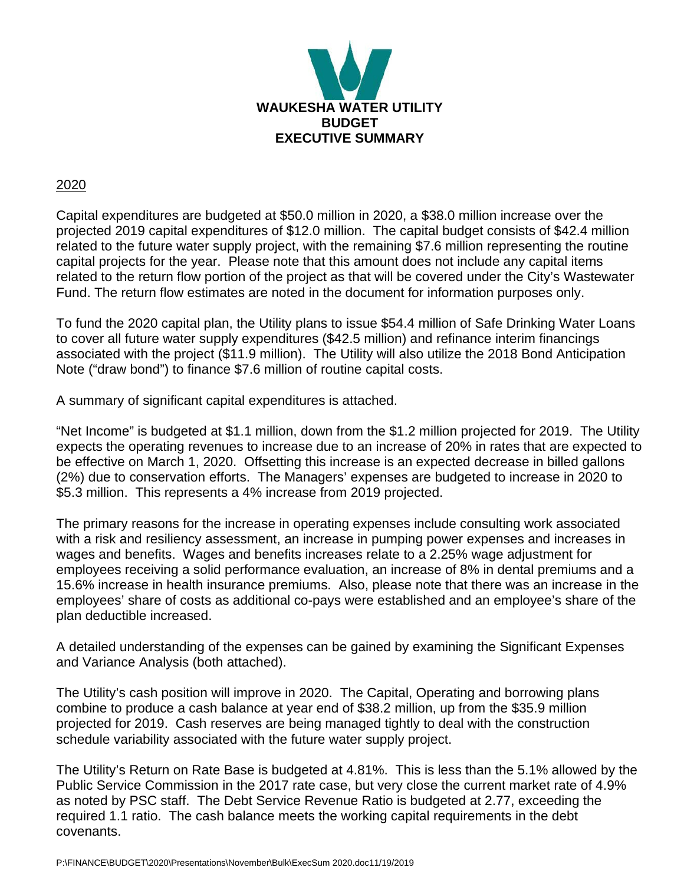

#### 2020

Capital expenditures are budgeted at \$50.0 million in 2020, a \$38.0 million increase over the projected 2019 capital expenditures of \$12.0 million. The capital budget consists of \$42.4 million related to the future water supply project, with the remaining \$7.6 million representing the routine capital projects for the year. Please note that this amount does not include any capital items related to the return flow portion of the project as that will be covered under the City's Wastewater Fund. The return flow estimates are noted in the document for information purposes only.

To fund the 2020 capital plan, the Utility plans to issue \$54.4 million of Safe Drinking Water Loans to cover all future water supply expenditures (\$42.5 million) and refinance interim financings associated with the project (\$11.9 million). The Utility will also utilize the 2018 Bond Anticipation Note ("draw bond") to finance \$7.6 million of routine capital costs.

A summary of significant capital expenditures is attached.

"Net Income" is budgeted at \$1.1 million, down from the \$1.2 million projected for 2019. The Utility expects the operating revenues to increase due to an increase of 20% in rates that are expected to be effective on March 1, 2020. Offsetting this increase is an expected decrease in billed gallons (2%) due to conservation efforts. The Managers' expenses are budgeted to increase in 2020 to \$5.3 million. This represents a 4% increase from 2019 projected.

The primary reasons for the increase in operating expenses include consulting work associated with a risk and resiliency assessment, an increase in pumping power expenses and increases in wages and benefits. Wages and benefits increases relate to a 2.25% wage adjustment for employees receiving a solid performance evaluation, an increase of 8% in dental premiums and a 15.6% increase in health insurance premiums. Also, please note that there was an increase in the employees' share of costs as additional co-pays were established and an employee's share of the plan deductible increased.

A detailed understanding of the expenses can be gained by examining the Significant Expenses and Variance Analysis (both attached).

The Utility's cash position will improve in 2020. The Capital, Operating and borrowing plans combine to produce a cash balance at year end of \$38.2 million, up from the \$35.9 million projected for 2019. Cash reserves are being managed tightly to deal with the construction schedule variability associated with the future water supply project.

The Utility's Return on Rate Base is budgeted at 4.81%. This is less than the 5.1% allowed by the Public Service Commission in the 2017 rate case, but very close the current market rate of 4.9% as noted by PSC staff. The Debt Service Revenue Ratio is budgeted at 2.77, exceeding the required 1.1 ratio. The cash balance meets the working capital requirements in the debt covenants.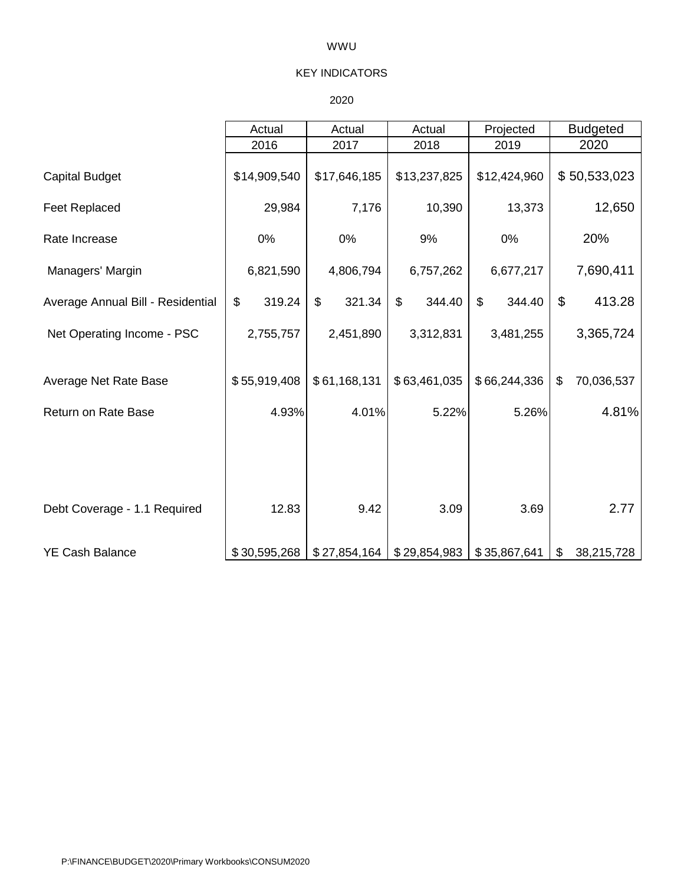#### WWU

#### KEY INDICATORS

#### 2020

|                                   | Actual       | Actual       | Actual       | Projected    | <b>Budgeted</b>  |
|-----------------------------------|--------------|--------------|--------------|--------------|------------------|
|                                   | 2016         | 2017         | 2018         | 2019         | 2020             |
| <b>Capital Budget</b>             | \$14,909,540 | \$17,646,185 | \$13,237,825 | \$12,424,960 | \$50,533,023     |
| <b>Feet Replaced</b>              | 29,984       | 7,176        | 10,390       | 13,373       | 12,650           |
| Rate Increase                     | 0%           | 0%           | 9%           | 0%           | 20%              |
| Managers' Margin                  | 6,821,590    | 4,806,794    | 6,757,262    | 6,677,217    | 7,690,411        |
| Average Annual Bill - Residential | \$<br>319.24 | \$<br>321.34 | \$<br>344.40 | \$<br>344.40 | \$<br>413.28     |
| Net Operating Income - PSC        | 2,755,757    | 2,451,890    | 3,312,831    | 3,481,255    | 3,365,724        |
| Average Net Rate Base             | \$55,919,408 | \$61,168,131 | \$63,461,035 | \$66,244,336 | \$<br>70,036,537 |
| Return on Rate Base               | 4.93%        | 4.01%        | 5.22%        | 5.26%        | 4.81%            |
|                                   |              |              |              |              |                  |
| Debt Coverage - 1.1 Required      | 12.83        | 9.42         | 3.09         | 3.69         | 2.77             |
|                                   |              |              |              |              |                  |
| <b>YE Cash Balance</b>            | \$30,595,268 | \$27,854,164 | \$29,854,983 | \$35,867,641 | \$<br>38,215,728 |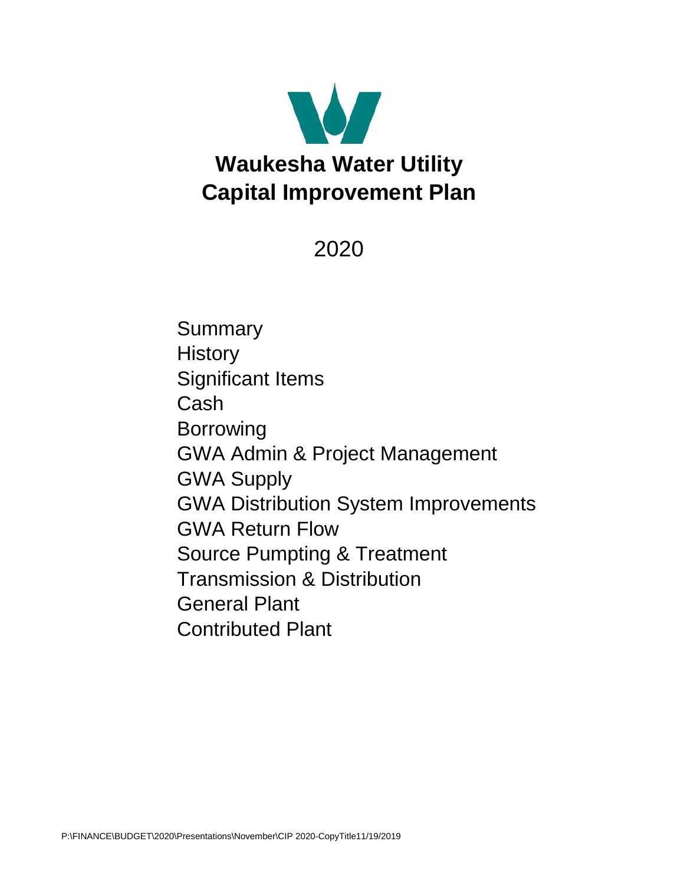

2020

**Summary History** Significant Items Cash Borrowing GWA Admin & Project Management GWA Supply GWA Distribution System Improvements GWA Return Flow Source Pumpting & Treatment Transmission & Distribution General Plant Contributed Plant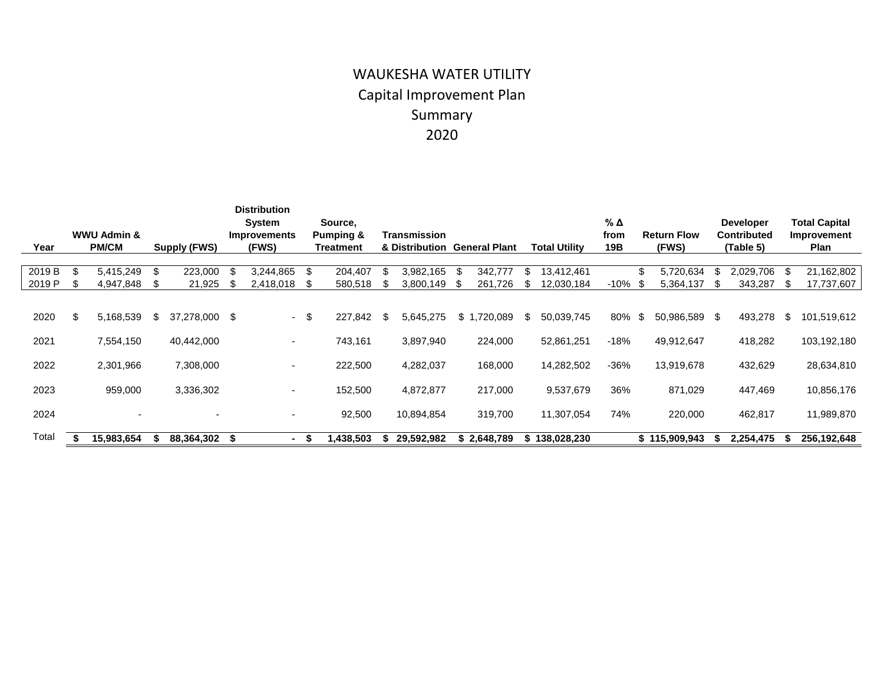# WAUKESHA WATER UTILITY Capital Improvement Plan Summary 2020

|        |    | <b>WWU Admin &amp;</b> |    |                     |      | <b>Distribution</b><br><b>System</b> |    | Source,                           |                                |             |                      |     |                      | % Δ         |      |                             |   | <b>Developer</b>                |     | <b>Total Capital</b> |
|--------|----|------------------------|----|---------------------|------|--------------------------------------|----|-----------------------------------|--------------------------------|-------------|----------------------|-----|----------------------|-------------|------|-----------------------------|---|---------------------------------|-----|----------------------|
| Year   |    | <b>PM/CM</b>           |    | <b>Supply (FWS)</b> |      | <b>Improvements</b><br>(FWS)         |    | <b>Pumping &amp;</b><br>Treatment | Transmission<br>& Distribution |             | <b>General Plant</b> |     | <b>Total Utility</b> | from<br>19B |      | <b>Return Flow</b><br>(FWS) |   | <b>Contributed</b><br>(Table 5) |     | Improvement<br>Plan  |
|        |    |                        |    |                     |      |                                      |    |                                   |                                |             |                      |     |                      |             |      |                             |   |                                 |     |                      |
| 2019 B | \$ | 5,415,249              | \$ | 223,000             | -\$  | 3,244,865                            | \$ | 204,407                           | \$<br>3,982,165                | -SS         | 342,777              | \$  | 13,412,461           |             | - 35 | 5,720,634                   |   | 2,029,706                       | S   | 21,162,802           |
| 2019 P |    | 4,947,848              | -S | 21,925              |      | 2,418,018                            | S  | 580,518                           | 3,800,149                      | \$.         | 261,726              | S.  | 12,030,184           | $-10%$      | ъ.   | 5,364,137                   | S | 343,287                         | \$. | 17,737,607           |
| 2020   | ß. | 5,168,539              | S  | 37,278,000 \$       |      | $\sim$ $-$                           | \$ | 227,842                           | \$<br>5,645,275                | $$^{\circ}$ | ,720,089             | \$. | 50,039,745           | 80%         | - \$ | 50,986,589 \$               |   | 493,278                         | \$  | 101,519,612          |
| 2021   |    | 7,554,150              |    | 40,442,000          |      | ٠                                    |    | 743,161                           | 3,897,940                      |             | 224,000              |     | 52,861,251           | -18%        |      | 49,912,647                  |   | 418,282                         |     | 103,192,180          |
| 2022   |    | 2,301,966              |    | 7,308,000           |      | ٠                                    |    | 222,500                           | 4,282,037                      |             | 168,000              |     | 14,282,502           | $-36%$      |      | 13,919,678                  |   | 432,629                         |     | 28,634,810           |
| 2023   |    | 959,000                |    | 3,336,302           |      | ۰.                                   |    | 152,500                           | 4,872,877                      |             | 217,000              |     | 9,537,679            | 36%         |      | 871,029                     |   | 447,469                         |     | 10,856,176           |
| 2024   |    |                        |    |                     |      | $\overline{\phantom{0}}$             |    | 92,500                            | 10,894,854                     |             | 319,700              |     | 11,307,054           | 74%         |      | 220,000                     |   | 462,817                         |     | 11,989,870           |
| Total  |    | 15,983,654             |    | 88,364,302          | - 35 |                                      | Ъ  | 1,438,503                         | 29,592,982                     |             | \$2,648,789          | æ.  | 138,028,230          |             |      | \$115,909,943               |   | 2,254,475                       |     | 256,192,648          |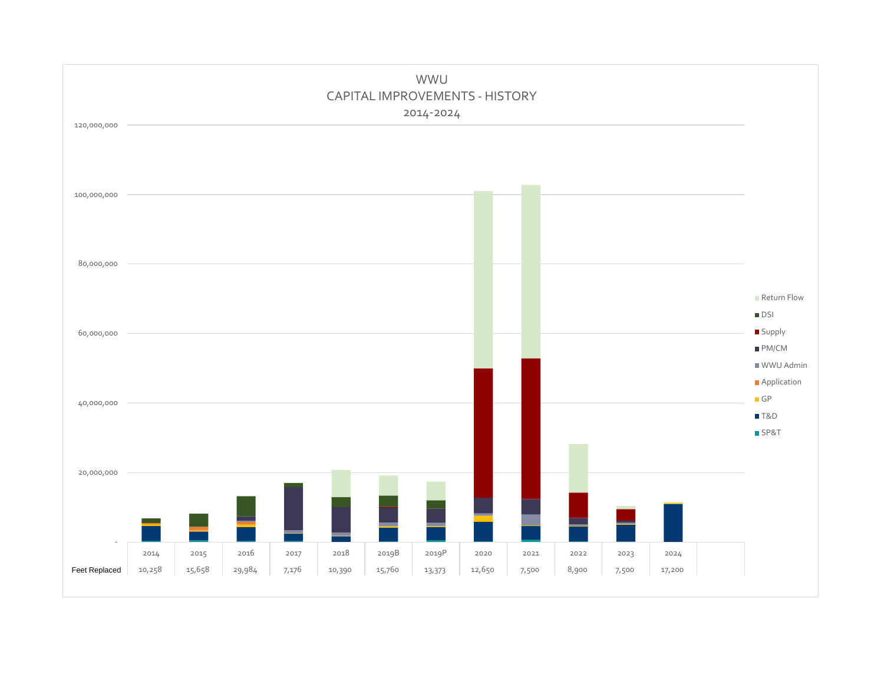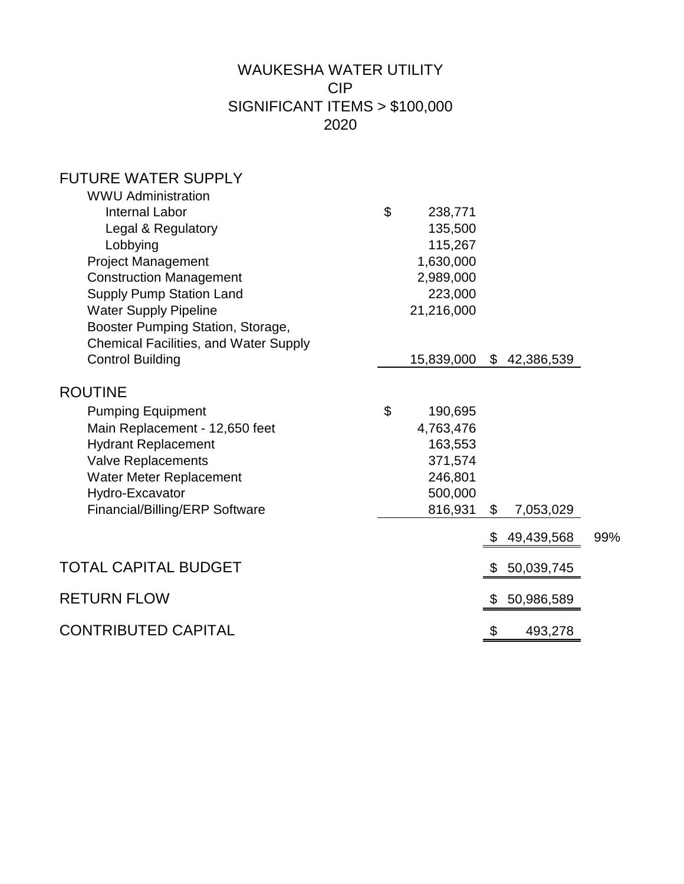# WAUKESHA WATER UTILITY CIP SIGNIFICANT ITEMS > \$100,000 2020

# FUTURE WATER SUPPLY

| \$<br>238,771 |                                     |            |                           |
|---------------|-------------------------------------|------------|---------------------------|
| 135,500       |                                     |            |                           |
| 115,267       |                                     |            |                           |
| 1,630,000     |                                     |            |                           |
| 2,989,000     |                                     |            |                           |
| 223,000       |                                     |            |                           |
|               |                                     |            |                           |
|               |                                     |            |                           |
|               |                                     |            |                           |
|               |                                     |            |                           |
|               |                                     |            |                           |
| \$<br>190,695 |                                     |            |                           |
| 4,763,476     |                                     |            |                           |
| 163,553       |                                     |            |                           |
| 371,574       |                                     |            |                           |
| 246,801       |                                     |            |                           |
| 500,000       |                                     |            |                           |
|               |                                     |            |                           |
|               |                                     | 49,439,568 | 99%                       |
|               | \$                                  | 50,039,745 |                           |
|               | \$                                  | 50,986,589 |                           |
|               | \$                                  | 493,278    |                           |
|               | 21,216,000<br>15,839,000<br>816,931 | $\$\$      | \$42,386,539<br>7,053,029 |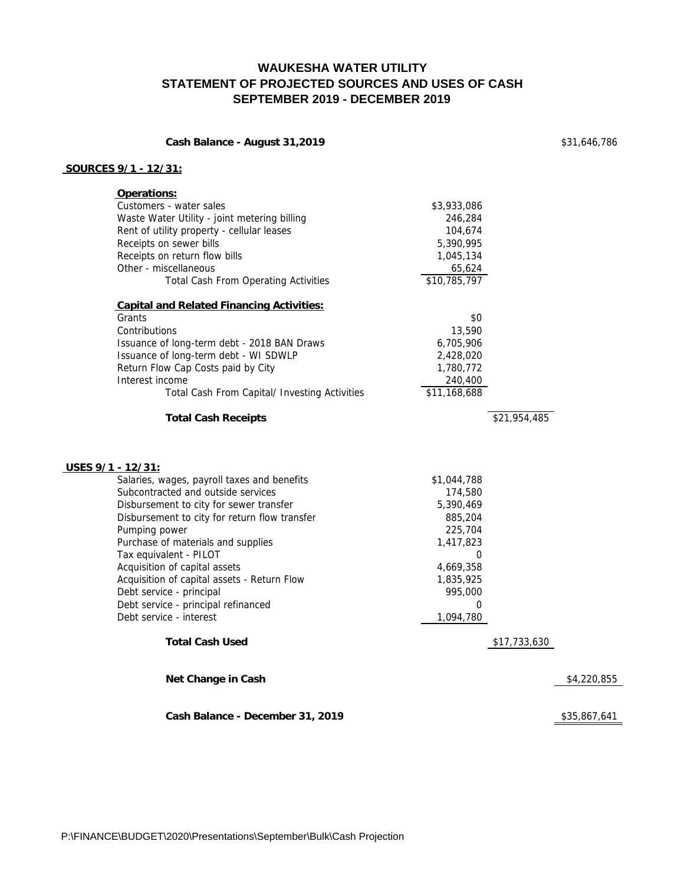#### **WAUKESHA WATER UTILITY STATEMENT OF PROJECTED SOURCES AND USES OF CASH SEPTEMBER 2019 - DECEMBER 2019**

| Cash Balance - August 31,2019 |  |  |
|-------------------------------|--|--|
|                               |  |  |

**Cash Balance - August 31,2019** \$31,646,786

#### **SOURCES 9/1 - 12/31:**

| Operations:                                      |              |              |              |
|--------------------------------------------------|--------------|--------------|--------------|
| Customers - water sales                          | \$3,933,086  |              |              |
| Waste Water Utility - joint metering billing     | 246,284      |              |              |
| Rent of utility property - cellular leases       | 104,674      |              |              |
| Receipts on sewer bills                          | 5,390,995    |              |              |
| Receipts on return flow bills                    | 1,045,134    |              |              |
| Other - miscellaneous                            | 65,624       |              |              |
| <b>Total Cash From Operating Activities</b>      | \$10,785,797 |              |              |
| <b>Capital and Related Financing Activities:</b> |              |              |              |
| Grants                                           | \$0          |              |              |
| Contributions                                    | 13,590       |              |              |
| Issuance of long-term debt - 2018 BAN Draws      | 6,705,906    |              |              |
| Issuance of long-term debt - WI SDWLP            | 2,428,020    |              |              |
| Return Flow Cap Costs paid by City               | 1,780,772    |              |              |
| Interest income                                  | 240,400      |              |              |
| Total Cash From Capital/ Investing Activities    | \$11,168,688 |              |              |
| <b>Total Cash Receipts</b>                       |              | \$21,954,485 |              |
| USES $9/1 - 12/31$ :                             |              |              |              |
| Salaries, wages, payroll taxes and benefits      | \$1,044,788  |              |              |
| Subcontracted and outside services               | 174,580      |              |              |
| Disbursement to city for sewer transfer          | 5,390,469    |              |              |
| Disbursement to city for return flow transfer    | 885,204      |              |              |
| Pumping power                                    | 225,704      |              |              |
| Purchase of materials and supplies               | 1,417,823    |              |              |
| Tax equivalent - PILOT                           | 0            |              |              |
| Acquisition of capital assets                    | 4,669,358    |              |              |
| Acquisition of capital assets - Return Flow      | 1,835,925    |              |              |
| Debt service - principal                         | 995,000      |              |              |
| Debt service - principal refinanced              | 0            |              |              |
| Debt service - interest                          | 1,094,780    |              |              |
| <b>Total Cash Used</b>                           |              | \$17,733,630 |              |
| <b>Net Change in Cash</b>                        |              |              | \$4,220,855  |
| Cash Balance - December 31, 2019                 |              |              | \$35,867,641 |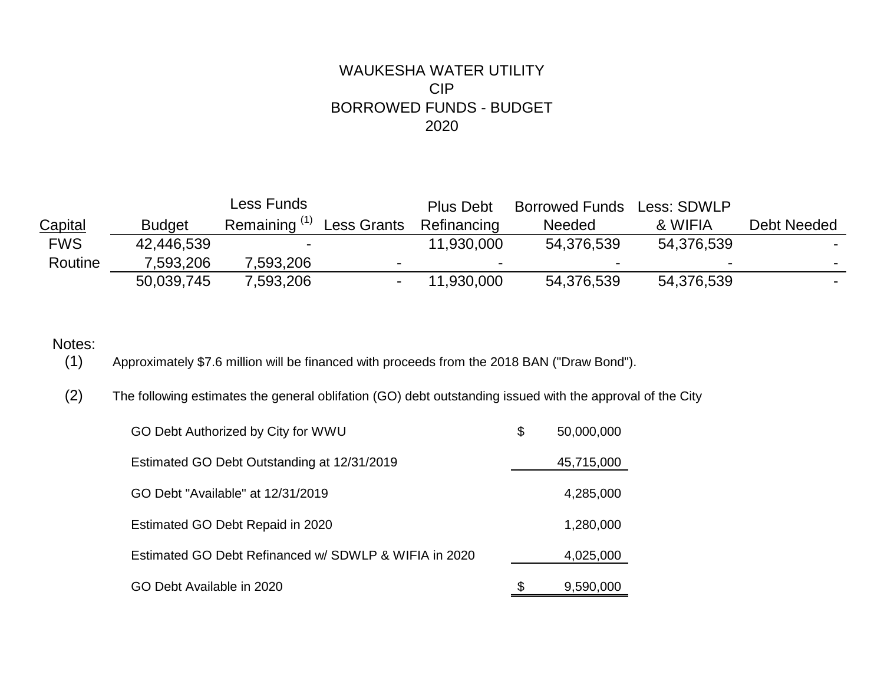## WAUKESHA WATER UTILITY CIP BORROWED FUNDS - BUDGET 2020

|                |               | Less Funds |                    | <b>Plus Debt</b> | <b>Borrowed Funds</b> | Less: SDWLP |             |
|----------------|---------------|------------|--------------------|------------------|-----------------------|-------------|-------------|
| <b>Capital</b> | <b>Budget</b> | Remaining  | <b>Less Grants</b> | Refinancing      | <b>Needed</b>         | & WIFIA     | Debt Needed |
| <b>FWS</b>     | 42,446,539    | -          |                    | 11,930,000       | 54,376,539            | 54,376,539  |             |
| Routine        | 7,593,206     | .593.206   | -                  |                  |                       |             |             |
|                | 50,039,745    | 7,593,206  |                    | 11,930,000       | 54,376,539            | 54,376,539  |             |

# Notes:<br>(1)

(1) Approximately \$7.6 million will be financed with proceeds from the 2018 BAN ("Draw Bond").

(2) The following estimates the general oblifation (GO) debt outstanding issued with the approval of the City

| GO Debt Authorized by City for WWU                    | \$<br>50,000,000 |
|-------------------------------------------------------|------------------|
| Estimated GO Debt Outstanding at 12/31/2019           | 45,715,000       |
| GO Debt "Available" at 12/31/2019                     | 4,285,000        |
| Estimated GO Debt Repaid in 2020                      | 1,280,000        |
| Estimated GO Debt Refinanced w/ SDWLP & WIFIA in 2020 | 4,025,000        |
| GO Debt Available in 2020                             | 9,590,000        |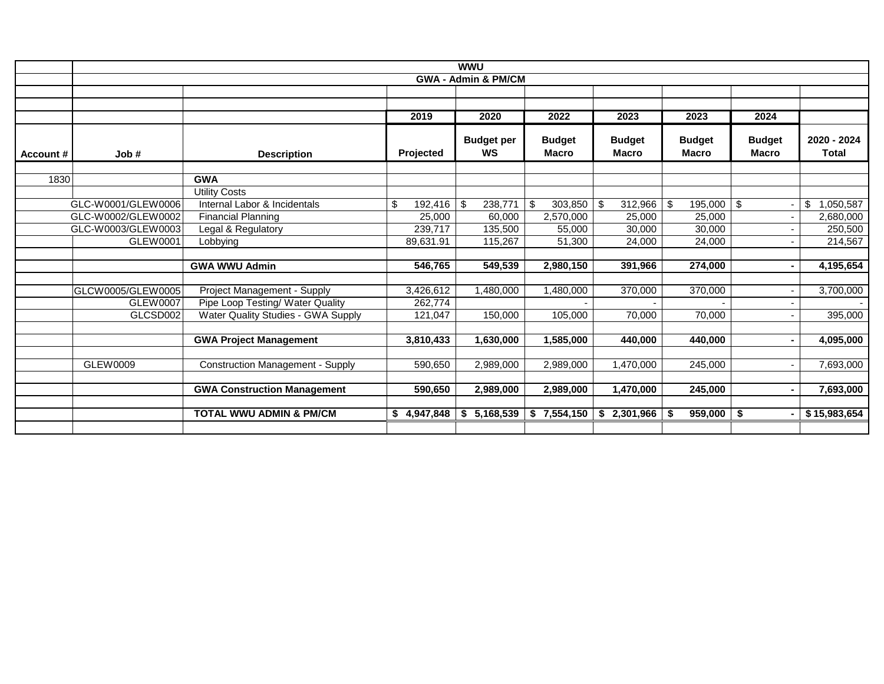|          |                                          |                                         |                   | <b>WWU</b>                     |                               |                               |                               |                               |                             |
|----------|------------------------------------------|-----------------------------------------|-------------------|--------------------------------|-------------------------------|-------------------------------|-------------------------------|-------------------------------|-----------------------------|
|          |                                          |                                         |                   | <b>GWA - Admin &amp; PM/CM</b> |                               |                               |                               |                               |                             |
|          |                                          |                                         |                   |                                |                               |                               |                               |                               |                             |
|          |                                          |                                         |                   |                                |                               |                               |                               |                               |                             |
|          |                                          |                                         | 2019              | 2020                           | 2022                          | 2023                          | 2023                          | 2024                          |                             |
| Account# | Job#                                     | <b>Description</b>                      | Projected         | <b>Budget per</b><br><b>WS</b> | <b>Budget</b><br><b>Macro</b> | <b>Budget</b><br><b>Macro</b> | <b>Budget</b><br><b>Macro</b> | <b>Budget</b><br><b>Macro</b> | 2020 - 2024<br><b>Total</b> |
|          |                                          |                                         |                   |                                |                               |                               |                               |                               |                             |
| 1830     |                                          | <b>GWA</b>                              |                   |                                |                               |                               |                               |                               |                             |
|          |                                          | <b>Utility Costs</b>                    |                   |                                |                               |                               |                               |                               |                             |
|          | GLC-W0001/GLEW0006                       | Internal Labor & Incidentals            | \$<br>192,416     | -\$<br>238,771                 | \$<br>303,850                 | 312,966<br>-\$                | $\vert$ \$<br>195,000         | $\vert$ \$                    | 1,050,587<br>\$             |
|          | GLC-W0002/GLEW0002<br>GLC-W0003/GLEW0003 | <b>Financial Planning</b>               | 25,000<br>239,717 | 60,000                         | 2,570,000                     | 25,000<br>30,000              | 25,000<br>30,000              |                               | 2,680,000<br>250,500        |
|          | GLEW0001                                 | Legal & Regulatory                      |                   | 135,500                        | 55,000                        |                               |                               |                               |                             |
|          |                                          | Lobbying                                | 89,631.91         | 115,267                        | 51,300                        | 24,000                        | 24,000                        |                               | 214,567                     |
|          |                                          | <b>GWA WWU Admin</b>                    | 546,765           | 549,539                        | 2,980,150                     | 391,966                       | 274,000                       |                               | 4,195,654                   |
|          |                                          |                                         |                   |                                |                               |                               |                               |                               |                             |
|          | GLCW0005/GLEW0005                        | Project Management - Supply             | 3,426,612         | 1,480,000                      | 1,480,000                     | 370,000                       | 370,000                       |                               | 3,700,000                   |
|          | <b>GLEW0007</b>                          | Pipe Loop Testing/ Water Quality        | 262,774           |                                |                               |                               |                               |                               |                             |
|          | GLCSD002                                 | Water Quality Studies - GWA Supply      | 121,047           | 150,000                        | 105,000                       | 70,000                        | 70,000                        |                               | 395,000                     |
|          |                                          |                                         |                   |                                |                               |                               |                               |                               |                             |
|          |                                          | <b>GWA Project Management</b>           | 3,810,433         | 1,630,000                      | 1,585,000                     | 440,000                       | 440,000                       |                               | 4,095,000                   |
|          |                                          |                                         |                   |                                |                               |                               |                               |                               |                             |
|          | GLEW0009                                 | <b>Construction Management - Supply</b> | 590,650           | 2,989,000                      | 2,989,000                     | 1,470,000                     | 245,000                       |                               | 7,693,000                   |
|          |                                          |                                         |                   |                                |                               |                               |                               |                               |                             |
|          |                                          | <b>GWA Construction Management</b>      | 590,650           | 2,989,000                      | 2,989,000                     | 1,470,000                     | 245,000                       |                               | 7,693,000                   |
|          |                                          |                                         |                   |                                |                               |                               |                               |                               |                             |
|          |                                          | <b>TOTAL WWU ADMIN &amp; PM/CM</b>      | \$4,947,848       | 5,168,539<br>S.                | 7,554,150<br>\$               | \$2,301,966                   | 959,000<br>-\$                | l \$                          | \$15,983,654                |
|          |                                          |                                         |                   |                                |                               |                               |                               |                               |                             |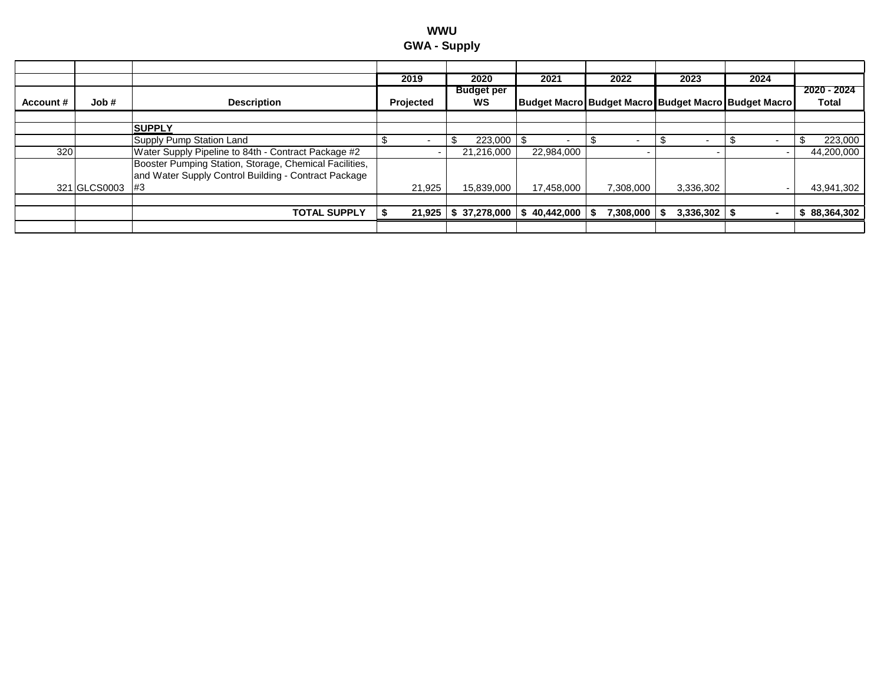| wwu                 |  |  |  |  |  |  |  |
|---------------------|--|--|--|--|--|--|--|
| <b>GWA - Supply</b> |  |  |  |  |  |  |  |

|           |              |                                                                                                                | 2019      | 2020                        | 2021            | 2022                                                | 2023      | 2024 |                      |
|-----------|--------------|----------------------------------------------------------------------------------------------------------------|-----------|-----------------------------|-----------------|-----------------------------------------------------|-----------|------|----------------------|
| Account # | Job #        | <b>Description</b>                                                                                             | Projected | <b>Budget per</b><br>WS     |                 | Budget Macro Budget Macro Budget Macro Budget Macro |           |      | 2020 - 2024<br>Total |
|           |              | <b>SUPPLY</b>                                                                                                  |           |                             |                 |                                                     |           |      |                      |
|           |              | Supply Pump Station Land                                                                                       |           | 223,000                     |                 |                                                     |           |      | 223,000              |
| 320       |              | Water Supply Pipeline to 84th - Contract Package #2                                                            |           | 21.216.000                  | 22,984,000      |                                                     |           |      | 44,200,000           |
|           |              | Booster Pumping Station, Storage, Chemical Facilities,<br>and Water Supply Control Building - Contract Package |           |                             |                 |                                                     |           |      |                      |
|           | 321 GLCS0003 | #3                                                                                                             | 21.925    | 15.839.000                  | 17.458.000      | 7.308.000                                           | 3.336.302 |      | 43,941,302           |
|           |              |                                                                                                                |           |                             |                 |                                                     |           |      |                      |
|           |              |                                                                                                                |           |                             |                 |                                                     |           |      | 88,364,302           |
|           |              | <b>TOTAL SUPPLY</b>                                                                                            | 21,925    | $\frac{1}{2}$ \$ 37,278,000 | 40,442,000<br>S | 7,308,000                                           | 3,336,302 |      |                      |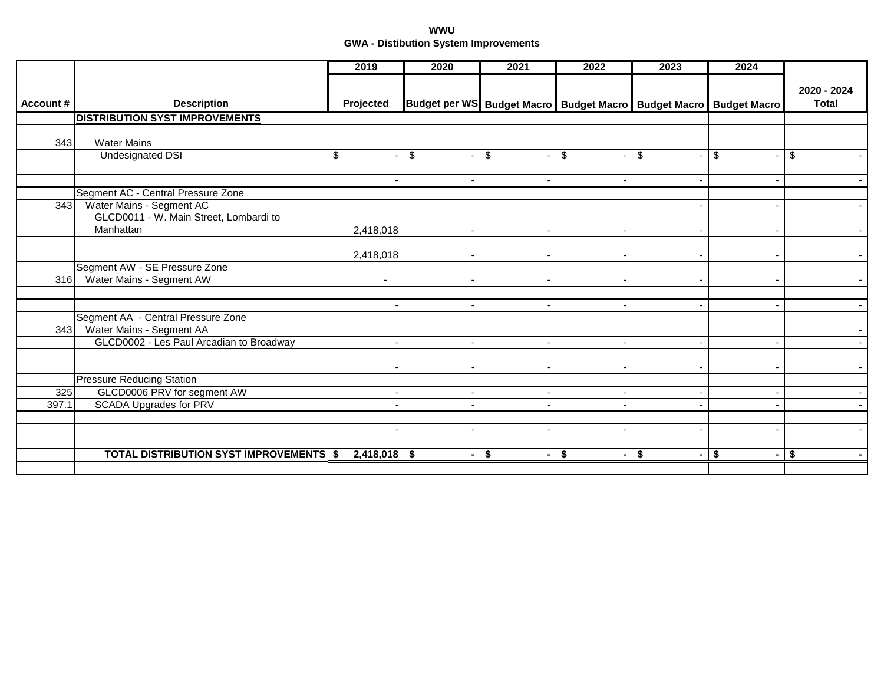#### **WWU GWA - Distibution System Improvements**

|                  |                                                                          | 2019                     | 2020                     | 2021                           | 2022                                                                    | 2023                 | 2024  |                             |
|------------------|--------------------------------------------------------------------------|--------------------------|--------------------------|--------------------------------|-------------------------------------------------------------------------|----------------------|-------|-----------------------------|
| Account#         | <b>Description</b>                                                       | Projected                |                          |                                | Budget per WS Budget Macro   Budget Macro   Budget Macro   Budget Macro |                      |       | 2020 - 2024<br><b>Total</b> |
|                  | <b>DISTRIBUTION SYST IMPROVEMENTS</b>                                    |                          |                          |                                |                                                                         |                      |       |                             |
|                  |                                                                          |                          |                          |                                |                                                                         |                      |       |                             |
| $\overline{343}$ | <b>Water Mains</b>                                                       |                          |                          |                                |                                                                         |                      |       |                             |
|                  | Undesignated DSI                                                         | \$                       | \$                       | \$<br>$\overline{\phantom{a}}$ | \$<br>$\overline{\phantom{a}}$                                          | \$                   | $\$\$ | \$                          |
|                  |                                                                          |                          |                          |                                |                                                                         |                      |       |                             |
|                  |                                                                          |                          |                          |                                |                                                                         |                      |       |                             |
|                  | Segment AC - Central Pressure Zone                                       |                          |                          |                                |                                                                         |                      |       |                             |
| 343              | Water Mains - Segment AC                                                 |                          |                          |                                |                                                                         |                      |       |                             |
|                  | GLCD0011 - W. Main Street, Lombardi to                                   |                          |                          |                                |                                                                         |                      |       |                             |
|                  | Manhattan                                                                | 2,418,018                |                          |                                |                                                                         |                      |       |                             |
|                  |                                                                          |                          |                          |                                |                                                                         |                      |       |                             |
|                  |                                                                          | 2,418,018                |                          |                                | ۰                                                                       |                      |       |                             |
|                  | Segment AW - SE Pressure Zone                                            |                          |                          |                                |                                                                         |                      |       |                             |
| 316              | Water Mains - Segment AW                                                 | $\overline{\phantom{a}}$ |                          |                                | $\overline{\phantom{0}}$                                                |                      |       | $\overline{\phantom{a}}$    |
|                  |                                                                          |                          |                          |                                |                                                                         |                      |       |                             |
|                  | Segment AA - Central Pressure Zone                                       |                          |                          |                                | $\overline{\phantom{0}}$                                                |                      |       |                             |
|                  |                                                                          |                          |                          |                                |                                                                         |                      |       |                             |
|                  | 343 Water Mains - Segment AA<br>GLCD0002 - Les Paul Arcadian to Broadway |                          |                          |                                |                                                                         |                      |       |                             |
|                  |                                                                          |                          |                          |                                |                                                                         |                      |       |                             |
|                  |                                                                          |                          |                          |                                |                                                                         |                      |       |                             |
|                  | <b>Pressure Reducing Station</b>                                         |                          |                          |                                |                                                                         |                      |       |                             |
| 325              | GLCD0006 PRV for segment AW                                              |                          |                          |                                |                                                                         |                      |       |                             |
| 397.1            | <b>SCADA Upgrades for PRV</b>                                            |                          |                          |                                |                                                                         |                      |       |                             |
|                  |                                                                          |                          |                          |                                |                                                                         |                      |       |                             |
|                  |                                                                          |                          | $\overline{\phantom{a}}$ | -                              | $\overline{\phantom{a}}$                                                |                      |       |                             |
|                  |                                                                          |                          |                          |                                |                                                                         |                      |       |                             |
|                  | <b>TOTAL DISTRIBUTION SYST IMPROVEMENTS \$</b>                           | $2,418,018$ \$           |                          | \$<br>$\blacksquare$           | - \$<br>$\sim$ .                                                        | \$<br>$\blacksquare$ | \$    | \$<br>$\blacksquare$        |
|                  |                                                                          |                          |                          |                                |                                                                         |                      |       |                             |
|                  |                                                                          |                          |                          |                                |                                                                         |                      |       |                             |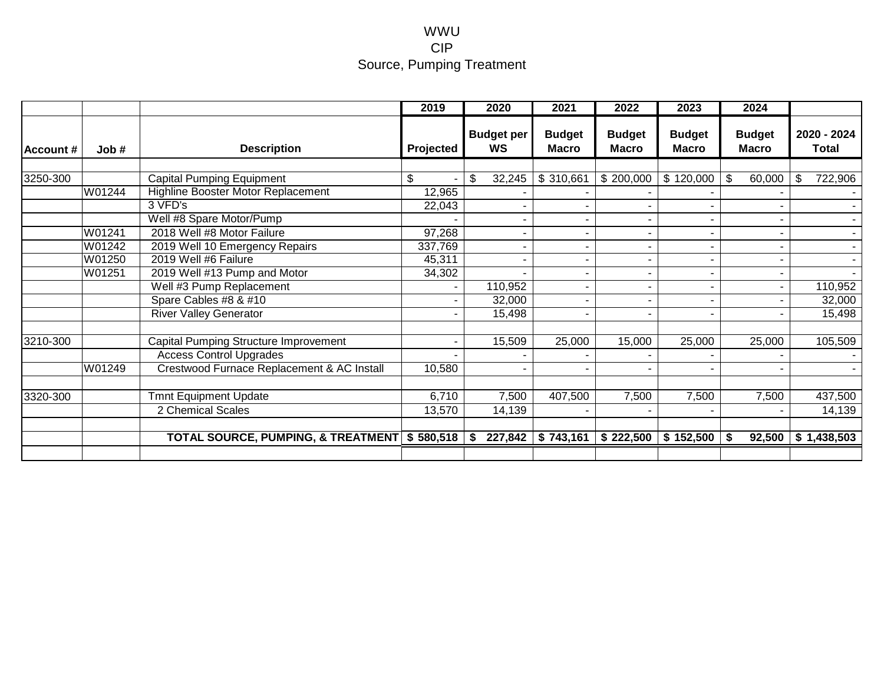#### WWU CIP Source, Pumping Treatment

|                  |        |                                              | 2019      | 2020                           | 2021                          | 2022                   | 2023                          | 2024                          |                      |
|------------------|--------|----------------------------------------------|-----------|--------------------------------|-------------------------------|------------------------|-------------------------------|-------------------------------|----------------------|
| <b>Account #</b> | Job#   | <b>Description</b>                           | Projected | <b>Budget per</b><br><b>WS</b> | <b>Budget</b><br><b>Macro</b> | <b>Budget</b><br>Macro | <b>Budget</b><br><b>Macro</b> | <b>Budget</b><br><b>Macro</b> | 2020 - 2024<br>Total |
|                  |        |                                              |           |                                |                               |                        |                               |                               |                      |
| 3250-300         |        | <b>Capital Pumping Equipment</b>             | \$        | \$<br>32,245                   | \$310,661                     | \$200,000              | \$120,000                     | \$<br>60,000                  | 722,906<br>\$        |
|                  | W01244 | Highline Booster Motor Replacement           | 12,965    |                                |                               |                        |                               |                               |                      |
|                  |        | 3 VFD's                                      | 22,043    |                                |                               |                        |                               |                               |                      |
|                  |        | Well #8 Spare Motor/Pump                     |           |                                |                               |                        |                               |                               |                      |
|                  | W01241 | 2018 Well #8 Motor Failure                   | 97,268    |                                |                               |                        |                               |                               |                      |
|                  | W01242 | 2019 Well 10 Emergency Repairs               | 337,769   |                                |                               |                        |                               |                               | $\sim$               |
|                  | W01250 | 2019 Well #6 Failure                         | 45,311    |                                |                               |                        |                               |                               |                      |
|                  | W01251 | 2019 Well #13 Pump and Motor                 | 34,302    |                                |                               |                        |                               |                               |                      |
|                  |        | Well #3 Pump Replacement                     |           | 110,952                        |                               |                        |                               |                               | 110,952              |
|                  |        | Spare Cables #8 & #10                        |           | 32,000                         |                               |                        |                               |                               | 32,000               |
|                  |        | <b>River Valley Generator</b>                |           | 15,498                         | $\blacksquare$                |                        | $\blacksquare$                |                               | 15,498               |
| 3210-300         |        | <b>Capital Pumping Structure Improvement</b> |           | 15,509                         | 25,000                        | 15,000                 | 25,000                        | 25,000                        | 105,509              |
|                  |        | <b>Access Control Upgrades</b>               |           |                                |                               |                        |                               |                               |                      |
|                  | W01249 | Crestwood Furnace Replacement & AC Install   | 10,580    |                                |                               |                        |                               |                               |                      |
| 3320-300         |        | <b>Tmnt Equipment Update</b>                 | 6,710     | 7,500                          | 407,500                       | 7,500                  | 7,500                         | 7,500                         | 437,500              |
|                  |        | 2 Chemical Scales                            | 13,570    | 14,139                         |                               |                        | ٠                             |                               | 14,139               |
|                  |        |                                              |           |                                |                               |                        |                               |                               |                      |
|                  |        | TOTAL SOURCE, PUMPING, & TREATMENT \$580,518 |           | 227,842<br>S.                  | \$743,161                     | \$222,500              | \$152,500                     | 92,500<br>S.                  | \$1,438,503          |
|                  |        |                                              |           |                                |                               |                        |                               |                               |                      |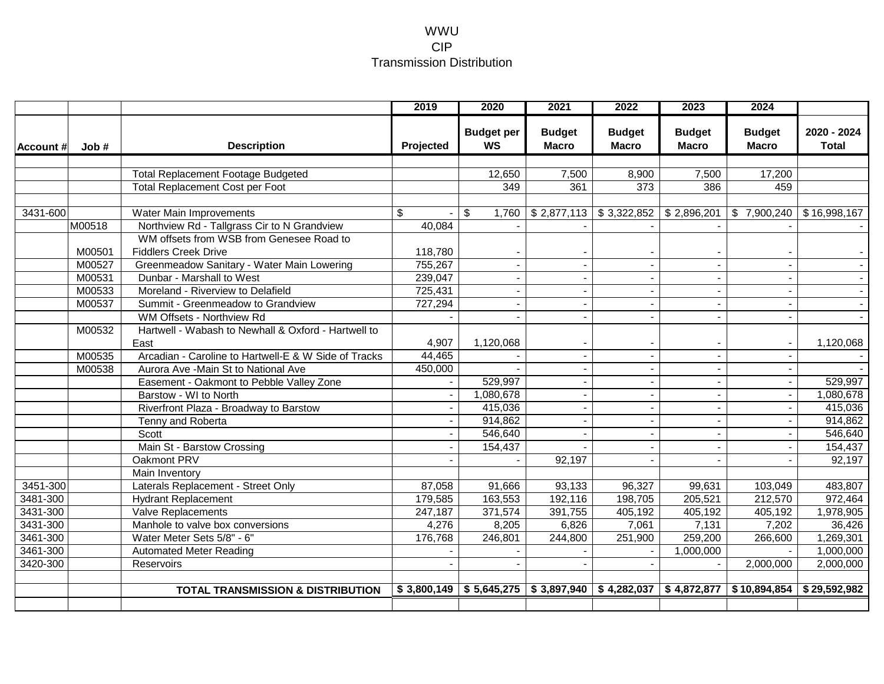#### WWU CIP Transmission Distribution

|                          |                                                                         | 2019               | 2020                           | 2021                                   | 2022                          | 2023                          | 2024                          |                             |
|--------------------------|-------------------------------------------------------------------------|--------------------|--------------------------------|----------------------------------------|-------------------------------|-------------------------------|-------------------------------|-----------------------------|
| <b>Account #</b><br>Job# | <b>Description</b>                                                      | Projected          | <b>Budget per</b><br><b>WS</b> | <b>Budget</b><br><b>Macro</b>          | <b>Budget</b><br><b>Macro</b> | <b>Budget</b><br><b>Macro</b> | <b>Budget</b><br><b>Macro</b> | 2020 - 2024<br><b>Total</b> |
|                          |                                                                         |                    |                                |                                        |                               |                               |                               |                             |
|                          | <b>Total Replacement Footage Budgeted</b>                               |                    | 12,650                         | 7,500                                  | 8,900                         | 7,500                         | 17,200                        |                             |
|                          | Total Replacement Cost per Foot                                         |                    | 349                            | 361                                    | $\overline{373}$              | 386                           | 459                           |                             |
| 3431-600                 |                                                                         |                    |                                |                                        |                               |                               |                               |                             |
|                          | Water Main Improvements                                                 | \$                 | \$<br>1,760                    | \$2,877,113                            | \$3,322,852                   | \$2,896,201                   | \$7,900,240                   | \$16,998,167                |
| M00518                   | Northview Rd - Tallgrass Cir to N Grandview                             | 40,084             |                                |                                        |                               |                               |                               |                             |
|                          | WM offsets from WSB from Genesee Road to                                |                    |                                |                                        |                               |                               |                               |                             |
| M00501                   | <b>Fiddlers Creek Drive</b>                                             | 118,780            |                                |                                        |                               |                               |                               |                             |
| M00527                   | Greenmeadow Sanitary - Water Main Lowering<br>Dunbar - Marshall to West | 755,267<br>239,047 |                                |                                        |                               |                               |                               |                             |
| M00531                   | Moreland - Riverview to Delafield                                       | 725,431            |                                |                                        |                               |                               |                               |                             |
| M00533<br>M00537         | Summit - Greenmeadow to Grandview                                       | 727,294            | $\blacksquare$                 |                                        |                               |                               |                               |                             |
|                          | WM Offsets - Northview Rd                                               |                    |                                |                                        |                               |                               |                               |                             |
| M00532                   | Hartwell - Wabash to Newhall & Oxford - Hartwell to                     |                    |                                |                                        |                               |                               |                               |                             |
|                          | East                                                                    | 4,907              | 1,120,068                      |                                        |                               |                               |                               | 1,120,068                   |
| M00535                   | Arcadian - Caroline to Hartwell-E & W Side of Tracks                    | 44,465             |                                |                                        |                               |                               |                               |                             |
| M00538                   | Aurora Ave -Main St to National Ave                                     | 450,000            |                                |                                        | $\sim$                        |                               | $\blacksquare$                |                             |
|                          | Easement - Oakmont to Pebble Valley Zone                                |                    | 529,997                        |                                        | $\blacksquare$                |                               |                               | 529,997                     |
|                          | Barstow - WI to North                                                   |                    | 1,080,678                      |                                        |                               |                               |                               | 1,080,678                   |
|                          | Riverfront Plaza - Broadway to Barstow                                  |                    | 415,036                        |                                        |                               |                               |                               | 415,036                     |
|                          | Tenny and Roberta                                                       |                    | 914,862                        |                                        |                               |                               |                               | 914,862                     |
|                          | Scott                                                                   |                    | 546,640                        |                                        |                               |                               |                               | 546,640                     |
|                          | Main St - Barstow Crossing                                              |                    | 154,437                        |                                        |                               |                               |                               | 154,437                     |
|                          | Oakmont PRV                                                             |                    |                                | 92,197                                 |                               |                               |                               | 92,197                      |
|                          | Main Inventory                                                          |                    |                                |                                        |                               |                               |                               |                             |
| 3451-300                 | Laterals Replacement - Street Only                                      | 87,058             | 91,666                         | 93,133                                 | 96,327                        | 99,631                        | 103,049                       | 483,807                     |
| 3481-300                 | <b>Hydrant Replacement</b>                                              | 179,585            | 163,553                        | 192,116                                | 198,705                       | 205,521                       | 212,570                       | 972,464                     |
| 3431-300                 | Valve Replacements                                                      | 247,187            | 371,574                        | 391,755                                | 405,192                       | 405,192                       | 405,192                       | 1,978,905                   |
| 3431-300                 | Manhole to valve box conversions                                        | 4,276              | 8,205                          | 6,826                                  | 7,061                         | 7,131                         | 7,202                         | 36,426                      |
| 3461-300                 | Water Meter Sets 5/8" - 6"                                              | 176,768            | 246,801                        | 244,800                                | 251,900                       | 259,200                       | 266,600                       | 1,269,301                   |
| 3461-300                 | <b>Automated Meter Reading</b>                                          |                    |                                |                                        |                               | 1,000,000                     |                               | 1,000,000                   |
| 3420-300                 | Reservoirs                                                              |                    |                                |                                        |                               |                               | 2,000,000                     | 2,000,000                   |
|                          |                                                                         |                    |                                |                                        |                               |                               |                               |                             |
|                          | <b>TOTAL TRANSMISSION &amp; DISTRIBUTION</b>                            |                    |                                | $$3,800,149$ $$5,645,275$ $$3,897,940$ | \$4,282,037                   | \$4,872,877                   | \$10,894,854                  | \$29,592,982                |
|                          |                                                                         |                    |                                |                                        |                               |                               |                               |                             |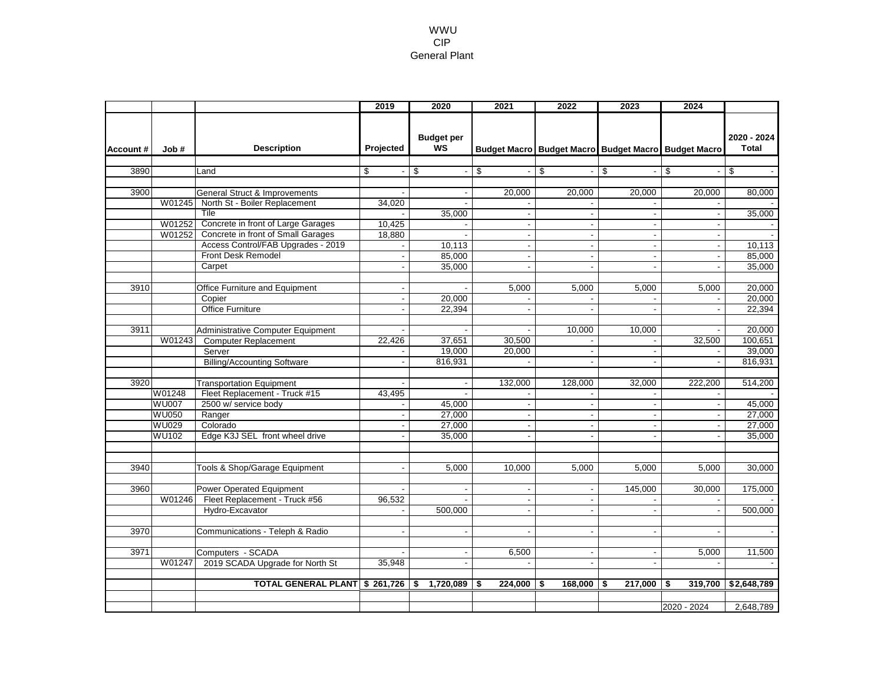#### WWU CIP General Plant

|          |              |                                                                | 2019                 | 2020                           | 2021                     | 2022                           | 2023                                                | 2024                     |                             |
|----------|--------------|----------------------------------------------------------------|----------------------|--------------------------------|--------------------------|--------------------------------|-----------------------------------------------------|--------------------------|-----------------------------|
| Account# | Job#         | <b>Description</b>                                             | Projected            | <b>Budget per</b><br><b>WS</b> |                          |                                | Budget Macro Budget Macro Budget Macro Budget Macro |                          | 2020 - 2024<br><b>Total</b> |
| 3890     |              |                                                                |                      |                                |                          |                                |                                                     |                          |                             |
|          |              | Land                                                           | \$<br>$\blacksquare$ | \$<br>$\blacksquare$           | \$<br>$\blacksquare$     | \$<br>$\overline{\phantom{a}}$ | \$<br>$\blacksquare$                                | \$                       | \$                          |
| 3900     |              |                                                                |                      |                                |                          |                                |                                                     |                          |                             |
|          |              | General Struct & Improvements<br>North St - Boiler Replacement |                      | $\blacksquare$                 | 20.000                   | 20.000                         | 20.000                                              | 20.000                   | 80.000                      |
|          | W01245       |                                                                | 34,020               |                                |                          |                                |                                                     |                          |                             |
|          |              | Tile                                                           |                      | 35,000                         | $\overline{\phantom{a}}$ | $\blacksquare$                 | $\blacksquare$                                      | $\blacksquare$           | 35,000                      |
|          | W01252       | Concrete in front of Large Garages                             | 10,425               | $\sim$                         | $\sim$                   |                                | $\sim$                                              | $\ddot{\phantom{a}}$     |                             |
|          | W01252       | Concrete in front of Small Garages                             | 18,880               |                                | $\overline{\phantom{a}}$ |                                |                                                     |                          |                             |
|          |              | Access Control/FAB Upgrades - 2019                             |                      | 10,113                         | $\blacksquare$           | $\sim$                         | $\sim$                                              | $\blacksquare$           | 10,113                      |
|          |              | <b>Front Desk Remodel</b>                                      |                      | 85,000                         | $\overline{a}$           | $\overline{a}$                 | $\blacksquare$                                      | $\blacksquare$           | 85,000                      |
|          |              | Carpet                                                         |                      | 35,000                         |                          |                                |                                                     | $\blacksquare$           | 35,000                      |
|          |              |                                                                |                      |                                |                          |                                |                                                     |                          |                             |
| 3910     |              | Office Furniture and Equipment                                 |                      |                                | 5,000                    | 5,000                          | 5,000                                               | 5,000                    | 20,000                      |
|          |              | Copier                                                         | $\blacksquare$       | 20,000                         |                          |                                |                                                     |                          | 20,000                      |
|          |              | <b>Office Furniture</b>                                        | $\blacksquare$       | 22,394                         | $\blacksquare$           | $\sim$                         | $\sim$                                              | $\blacksquare$           | 22,394                      |
|          |              |                                                                |                      |                                |                          |                                |                                                     |                          |                             |
| 3911     |              | Administrative Computer Equipment                              |                      |                                |                          | 10,000                         | 10,000                                              |                          | 20,000                      |
|          | W01243       | <b>Computer Replacement</b>                                    | 22,426               | 37,651                         | 30,500                   |                                |                                                     | 32,500                   | 100,651                     |
|          |              | Server                                                         |                      | 19,000                         | 20,000                   |                                | $\blacksquare$                                      |                          | 39,000                      |
|          |              | <b>Billing/Accounting Software</b>                             |                      | 816,931                        | $\sim$                   | $\sim$                         | $\mathbf{r}$                                        | $\overline{\phantom{a}}$ | 816,931                     |
|          |              |                                                                |                      |                                |                          |                                |                                                     |                          |                             |
| 3920     |              | <b>Transportation Equipment</b>                                |                      |                                | 132,000                  | 128,000                        | 32,000                                              | 222,200                  | 514,200                     |
|          | W01248       | Fleet Replacement - Truck #15                                  | 43.495               |                                |                          |                                |                                                     |                          |                             |
|          | <b>WU007</b> | 2500 w/ service body                                           |                      | 45,000                         | $\overline{\phantom{a}}$ | $\blacksquare$                 | $\blacksquare$                                      | $\overline{\phantom{a}}$ | 45,000                      |
|          | <b>WU050</b> | Ranger                                                         |                      | 27,000                         |                          |                                |                                                     |                          | 27,000                      |
|          | <b>WU029</b> | Colorado                                                       | $\blacksquare$       | 27,000                         | $\blacksquare$           | $\sim$                         | $\blacksquare$                                      | $\overline{\phantom{a}}$ | 27,000                      |
|          | <b>WU102</b> | Edge K3J SEL front wheel drive                                 |                      | 35,000                         |                          |                                |                                                     |                          | 35,000                      |
|          |              |                                                                |                      |                                |                          |                                |                                                     |                          |                             |
|          |              |                                                                |                      |                                |                          |                                |                                                     |                          |                             |
| 3940     |              | Tools & Shop/Garage Equipment                                  |                      | 5,000                          | 10,000                   | 5,000                          | 5.000                                               | 5.000                    | 30,000                      |
|          |              |                                                                |                      |                                |                          |                                |                                                     |                          |                             |
| 3960     |              | <b>Power Operated Equipment</b>                                |                      |                                |                          |                                | 145,000                                             | 30,000                   | 175,000                     |
|          | W01246       | Fleet Replacement - Truck #56                                  | 96,532               |                                | $\blacksquare$           |                                |                                                     |                          |                             |
|          |              | Hydro-Excavator                                                |                      | 500,000                        |                          |                                |                                                     |                          | 500,000                     |
|          |              |                                                                |                      |                                |                          |                                |                                                     |                          |                             |
| 3970     |              | Communications - Teleph & Radio                                |                      |                                |                          |                                |                                                     |                          |                             |
|          |              |                                                                |                      |                                |                          |                                |                                                     |                          |                             |
| 3971     |              | Computers - SCADA                                              |                      | $\blacksquare$                 | 6,500                    |                                |                                                     | 5,000                    | 11,500                      |
|          | W01247       | 2019 SCADA Upgrade for North St                                | 35,948               | $\blacksquare$                 | $\blacksquare$           | $\blacksquare$                 | $\blacksquare$                                      |                          |                             |
|          |              |                                                                |                      |                                |                          |                                |                                                     |                          |                             |
|          |              | TOTAL GENERAL PLANT \$ 261,726 \$                              |                      | 1,720,089                      | $224,000$ \$<br>-\$      | 168,000                        | $217,000$ \$<br>-\$                                 | 319,700                  | \$2,648,789                 |
|          |              |                                                                |                      |                                |                          |                                |                                                     |                          |                             |
|          |              |                                                                |                      |                                |                          |                                |                                                     | 2020 - 2024              | 2,648,789                   |
|          |              |                                                                |                      |                                |                          |                                |                                                     |                          |                             |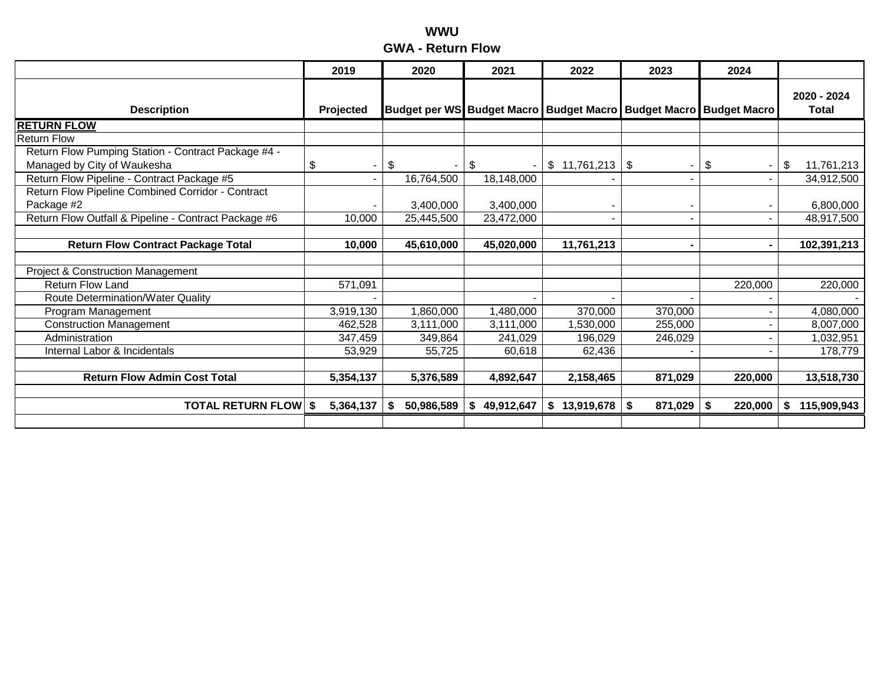### **WWU GWA - Return Flow**

|                                                      | 2019      | 2020                              | 2021             | 2022            | 2023                             | 2024                 |                             |
|------------------------------------------------------|-----------|-----------------------------------|------------------|-----------------|----------------------------------|----------------------|-----------------------------|
| <b>Description</b>                                   | Projected | <b>Budget per WS Budget Macro</b> |                  |                 | <b>Budget Macro Budget Macro</b> | <b>Budget Macro</b>  | 2020 - 2024<br><b>Total</b> |
| <b>RETURN FLOW</b>                                   |           |                                   |                  |                 |                                  |                      |                             |
| <b>Return Flow</b>                                   |           |                                   |                  |                 |                                  |                      |                             |
| Return Flow Pumping Station - Contract Package #4 -  |           |                                   |                  |                 |                                  |                      |                             |
| Managed by City of Waukesha                          | \$        | \$                                | \$               | \$11,761,213    | \$<br>$\overline{\phantom{a}}$   | \$<br>$\blacksquare$ | 11,761,213<br>\$            |
| Return Flow Pipeline - Contract Package #5           |           | 16,764,500                        | 18,148,000       |                 |                                  |                      | 34,912,500                  |
| Return Flow Pipeline Combined Corridor - Contract    |           |                                   |                  |                 |                                  |                      |                             |
| Package #2                                           |           | 3,400,000                         | 3,400,000        |                 |                                  |                      | 6,800,000                   |
| Return Flow Outfall & Pipeline - Contract Package #6 | 10,000    | 25,445,500                        | 23,472,000       |                 |                                  |                      | 48,917,500                  |
|                                                      |           |                                   |                  |                 |                                  |                      |                             |
| <b>Return Flow Contract Package Total</b>            | 10,000    | 45,610,000                        | 45,020,000       | 11,761,213      |                                  |                      | 102,391,213                 |
|                                                      |           |                                   |                  |                 |                                  |                      |                             |
| <b>Project &amp; Construction Management</b>         |           |                                   |                  |                 |                                  |                      |                             |
| <b>Return Flow Land</b>                              | 571,091   |                                   |                  |                 |                                  | 220,000              | 220,000                     |
| Route Determination/Water Quality                    |           |                                   |                  |                 |                                  |                      |                             |
| Program Management                                   | 3,919,130 | 1,860,000                         | 1,480,000        | 370,000         | 370,000                          |                      | 4,080,000                   |
| <b>Construction Management</b>                       | 462,528   | 3,111,000                         | 3,111,000        | 1,530,000       | 255,000                          |                      | 8,007,000                   |
| Administration                                       | 347,459   | 349,864                           | 241,029          | 196,029         | 246,029                          |                      | 1,032,951                   |
| Internal Labor & Incidentals                         | 53,929    | 55,725                            | 60,618           | 62,436          |                                  |                      | 178,779                     |
|                                                      |           |                                   |                  |                 |                                  |                      |                             |
| <b>Return Flow Admin Cost Total</b>                  | 5,354,137 | 5,376,589                         | 4,892,647        | 2,158,465       | 871,029                          | 220,000              | 13,518,730                  |
|                                                      |           |                                   |                  |                 |                                  |                      |                             |
| <b>TOTAL RETURN FLOW \$</b>                          | 5,364,137 | 50,986,589<br>S                   | 49,912,647<br>S. | 13,919,678<br>S | 871,029<br>S                     | 220,000<br>-S        | 115,909,943<br>S            |
|                                                      |           |                                   |                  |                 |                                  |                      |                             |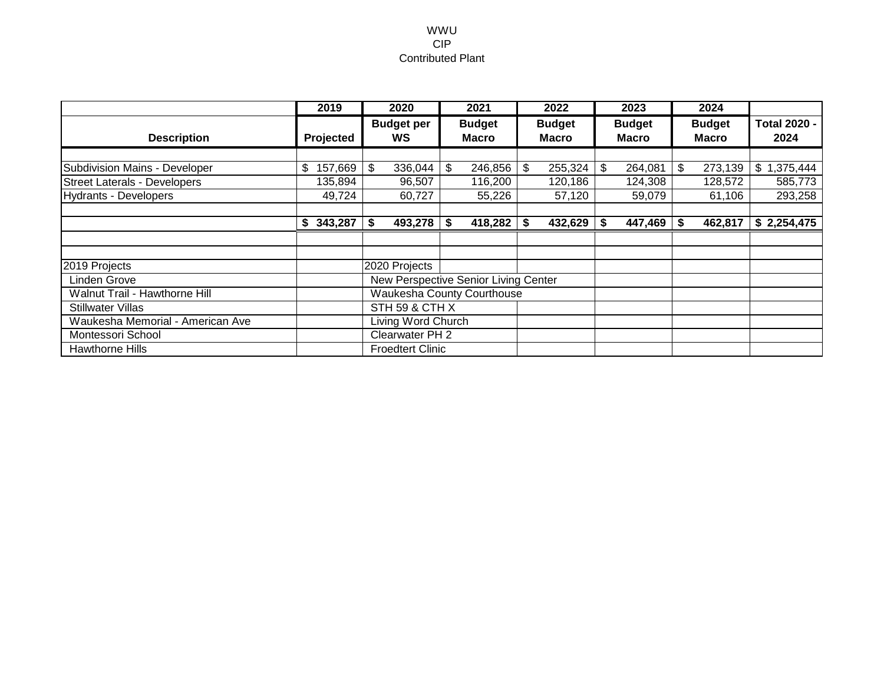#### WWU CIP Contributed Plant

|                                      | 2019          |                    | 2020                    |    | 2021                                 |      | 2022                          |    | 2023                          |                               | 2024    |                             |
|--------------------------------------|---------------|--------------------|-------------------------|----|--------------------------------------|------|-------------------------------|----|-------------------------------|-------------------------------|---------|-----------------------------|
| <b>Description</b>                   | Projected     |                    | <b>Budget per</b><br>WS |    | <b>Budget</b><br><b>Macro</b>        |      | <b>Budget</b><br><b>Macro</b> |    | <b>Budget</b><br><b>Macro</b> | <b>Budget</b><br><b>Macro</b> |         | <b>Total 2020 -</b><br>2024 |
|                                      |               |                    |                         |    |                                      |      |                               |    |                               |                               |         |                             |
| Subdivision Mains - Developer        | 157,669<br>\$ | \$                 | 336,044                 | \$ | 246,856                              | \$   | 255,324                       | \$ | 264,081                       | \$                            | 273,139 | \$1,375,444                 |
| <b>Street Laterals - Developers</b>  | 135,894       |                    | 96,507                  |    | 116,200                              |      | 120,186                       |    | 124,308                       |                               | 128,572 | 585,773                     |
| Hydrants - Developers                | 49,724        |                    | 60,727                  |    | 55,226                               |      | 57,120                        |    | 59,079                        |                               | 61,106  | 293,258                     |
|                                      |               |                    |                         |    |                                      |      |                               |    |                               |                               |         |                             |
|                                      | 343,287<br>S. | \$                 | 493,278                 | S  | 418,282                              | - \$ | 432,629                       | S  | 447,469                       | S                             | 462,817 | \$2,254,475                 |
|                                      |               |                    |                         |    |                                      |      |                               |    |                               |                               |         |                             |
|                                      |               |                    |                         |    |                                      |      |                               |    |                               |                               |         |                             |
| 2019 Projects                        |               |                    | 2020 Projects           |    |                                      |      |                               |    |                               |                               |         |                             |
| Linden Grove                         |               |                    |                         |    | New Perspective Senior Living Center |      |                               |    |                               |                               |         |                             |
| <b>Walnut Trail - Hawthorne Hill</b> |               |                    |                         |    | <b>Waukesha County Courthouse</b>    |      |                               |    |                               |                               |         |                             |
| <b>Stillwater Villas</b>             |               | STH 59 & CTH X     |                         |    |                                      |      |                               |    |                               |                               |         |                             |
| Waukesha Memorial - American Ave     |               | Living Word Church |                         |    |                                      |      |                               |    |                               |                               |         |                             |
| Montessori School                    |               | Clearwater PH 2    |                         |    |                                      |      |                               |    |                               |                               |         |                             |
| Hawthorne Hills                      |               |                    | <b>Froedtert Clinic</b> |    |                                      |      |                               |    |                               |                               |         |                             |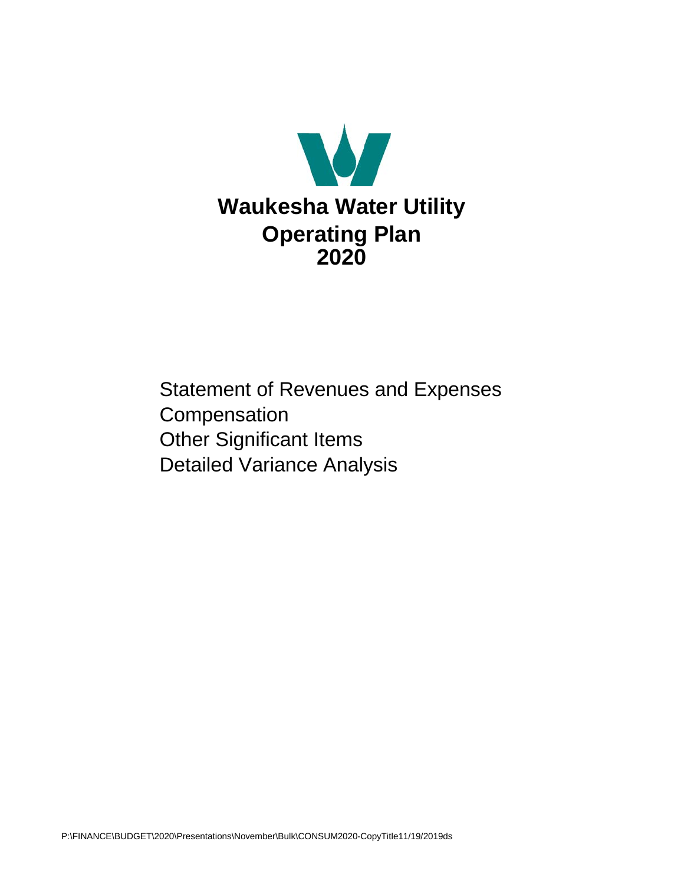

Statement of Revenues and Expenses **Compensation** Other Significant Items Detailed Variance Analysis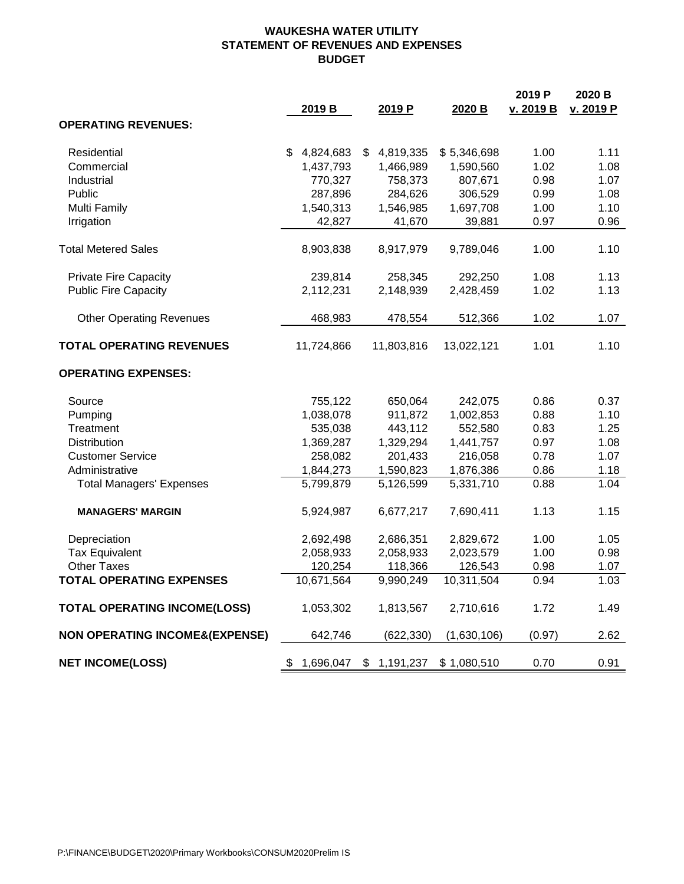#### **WAUKESHA WATER UTILITY STATEMENT OF REVENUES AND EXPENSES BUDGET**

|                                           | 2019 B          |    | 2019 P     | 2020 B      | 2019 P<br>v. 2019 B | 2020 B<br>v. 2019 P |
|-------------------------------------------|-----------------|----|------------|-------------|---------------------|---------------------|
| <b>OPERATING REVENUES:</b>                |                 |    |            |             |                     |                     |
|                                           |                 |    |            |             |                     |                     |
| Residential                               | \$<br>4,824,683 | \$ | 4,819,335  | \$5,346,698 | 1.00                | 1.11                |
| Commercial                                | 1,437,793       |    | 1,466,989  | 1,590,560   | 1.02                | 1.08                |
| Industrial                                | 770,327         |    | 758,373    | 807,671     | 0.98                | 1.07                |
| Public                                    | 287,896         |    | 284,626    | 306,529     | 0.99                | 1.08                |
| <b>Multi Family</b>                       | 1,540,313       |    | 1,546,985  | 1,697,708   | 1.00                | 1.10                |
| Irrigation                                | 42,827          |    | 41,670     | 39,881      | 0.97                | 0.96                |
| <b>Total Metered Sales</b>                | 8,903,838       |    | 8,917,979  | 9,789,046   | 1.00                | 1.10                |
| <b>Private Fire Capacity</b>              | 239,814         |    | 258,345    | 292,250     | 1.08                | 1.13                |
| <b>Public Fire Capacity</b>               | 2,112,231       |    | 2,148,939  | 2,428,459   | 1.02                | 1.13                |
| <b>Other Operating Revenues</b>           | 468,983         |    | 478,554    | 512,366     | 1.02                | 1.07                |
| <b>TOTAL OPERATING REVENUES</b>           | 11,724,866      |    | 11,803,816 | 13,022,121  | 1.01                | 1.10                |
| <b>OPERATING EXPENSES:</b>                |                 |    |            |             |                     |                     |
| Source                                    | 755,122         |    | 650,064    | 242,075     | 0.86                | 0.37                |
| Pumping                                   | 1,038,078       |    | 911,872    | 1,002,853   | 0.88                | 1.10                |
| Treatment                                 | 535,038         |    | 443,112    | 552,580     | 0.83                | 1.25                |
| <b>Distribution</b>                       | 1,369,287       |    | 1,329,294  | 1,441,757   | 0.97                | 1.08                |
| <b>Customer Service</b>                   | 258,082         |    | 201,433    | 216,058     | 0.78                | 1.07                |
| Administrative                            | 1,844,273       |    | 1,590,823  | 1,876,386   | 0.86                | 1.18                |
| <b>Total Managers' Expenses</b>           | 5,799,879       |    | 5,126,599  | 5,331,710   | 0.88                | 1.04                |
| <b>MANAGERS' MARGIN</b>                   | 5,924,987       |    | 6,677,217  | 7,690,411   | 1.13                | 1.15                |
| Depreciation                              | 2,692,498       |    | 2,686,351  | 2,829,672   | 1.00                | 1.05                |
| <b>Tax Equivalent</b>                     | 2,058,933       |    | 2,058,933  | 2,023,579   | 1.00                | 0.98                |
| <b>Other Taxes</b>                        | 120,254         |    | 118,366    | 126,543     | 0.98                | 1.07                |
| <b>TOTAL OPERATING EXPENSES</b>           | 10,671,564      |    | 9,990,249  | 10,311,504  | 0.94                | 1.03                |
| <b>TOTAL OPERATING INCOME(LOSS)</b>       | 1,053,302       |    | 1,813,567  | 2,710,616   | 1.72                | 1.49                |
| <b>NON OPERATING INCOME&amp;(EXPENSE)</b> | 642,746         |    | (622, 330) | (1,630,106) | (0.97)              | 2.62                |
| <b>NET INCOME(LOSS)</b>                   | 1,696,047<br>\$ | S. | 1,191,237  | \$1,080,510 | 0.70                | 0.91                |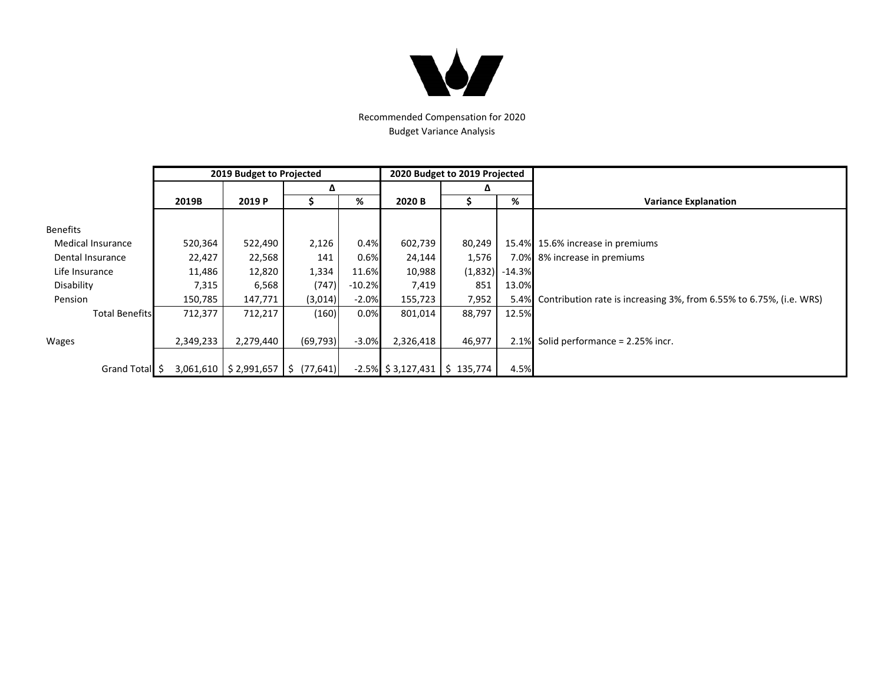

Recommended Compensation for 2020 Budget Variance Analysis

|                          |           | 2019 Budget to Projected               |           |          |                       | 2020 Budget to 2019 Projected |           |                                                                     |  |  |  |  |  |
|--------------------------|-----------|----------------------------------------|-----------|----------|-----------------------|-------------------------------|-----------|---------------------------------------------------------------------|--|--|--|--|--|
|                          |           |                                        | Δ         |          |                       | Δ                             |           |                                                                     |  |  |  |  |  |
|                          | 2019B     | 2019 P                                 |           | %        | 2020 B                |                               | %         | <b>Variance Explanation</b>                                         |  |  |  |  |  |
|                          |           |                                        |           |          |                       |                               |           |                                                                     |  |  |  |  |  |
| <b>Benefits</b>          |           |                                        |           |          |                       |                               |           |                                                                     |  |  |  |  |  |
| <b>Medical Insurance</b> | 520,364   | 522,490                                | 2,126     | 0.4%     | 602,739               | 80,249                        |           | 15.4% 15.6% increase in premiums                                    |  |  |  |  |  |
| Dental Insurance         | 22,427    | 22,568                                 | 141       | 0.6%     | 24,144                | 1,576                         |           | 7.0% 8% increase in premiums                                        |  |  |  |  |  |
| Life Insurance           | 11,486    | 12,820                                 | 1,334     | 11.6%    | 10,988                | (1,832)                       | $-14.3\%$ |                                                                     |  |  |  |  |  |
| Disability               | 7,315     | 6,568                                  | (747)     | $-10.2%$ | 7,419                 | 851                           | 13.0%     |                                                                     |  |  |  |  |  |
| Pension                  | 150,785   | 147,771                                | (3,014)   | $-2.0%$  | 155,723               | 7,952                         | 5.4%      | Contribution rate is increasing 3%, from 6.55% to 6.75%, (i.e. WRS) |  |  |  |  |  |
| <b>Total Benefits</b>    | 712,377   | 712,217                                | (160)     | 0.0%     | 801,014               | 88,797                        | 12.5%     |                                                                     |  |  |  |  |  |
|                          |           |                                        |           |          |                       |                               |           |                                                                     |  |  |  |  |  |
| Wages                    | 2,349,233 | 2,279,440                              | (69, 793) | $-3.0%$  | 2,326,418             | 46,977                        | 2.1%      | Solid performance = 2.25% incr.                                     |  |  |  |  |  |
|                          |           |                                        |           |          |                       |                               |           |                                                                     |  |  |  |  |  |
| Grand Total \$           |           | $3,061,610$   \$2,991,657   \$(77,641) |           |          | $-2.5\%$ \$ 3,127,431 | \$135,774                     | 4.5%      |                                                                     |  |  |  |  |  |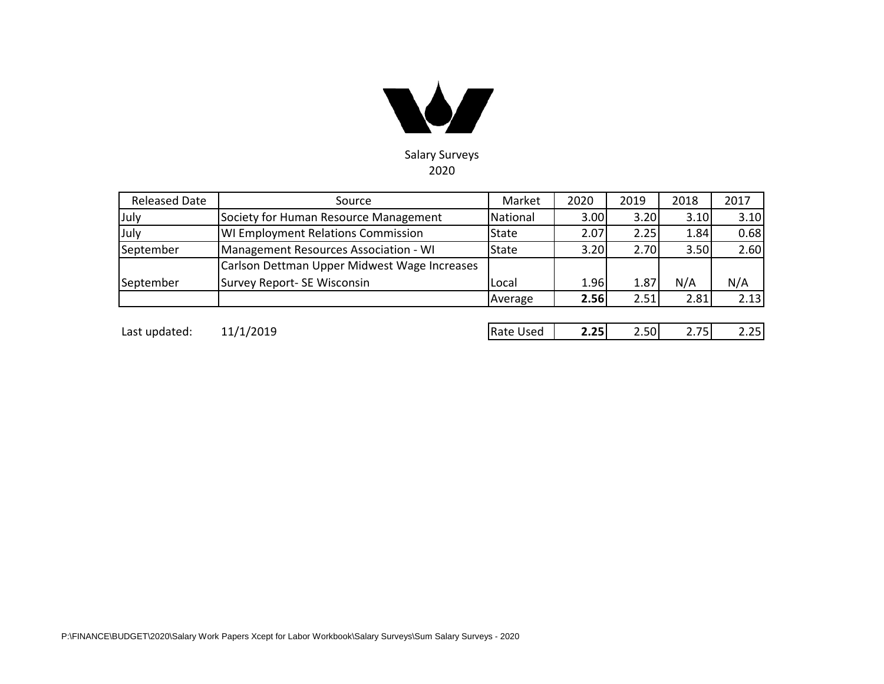

| <b>Released Date</b> | Source                                       | Market       | 2020 | 2019 | 2018 | 2017 |
|----------------------|----------------------------------------------|--------------|------|------|------|------|
| July                 | Society for Human Resource Management        | National     | 3.00 | 3.20 | 3.10 | 3.10 |
| July                 | <b>WI Employment Relations Commission</b>    | <b>State</b> | 2.07 | 2.25 | 1.84 | 0.68 |
| September            | Management Resources Association - WI        | <b>State</b> | 3.20 | 2.70 | 3.50 | 2.60 |
|                      | Carlson Dettman Upper Midwest Wage Increases |              |      |      |      |      |
| September            | Survey Report- SE Wisconsin                  | Local        | 1.96 | 1.87 | N/A  | N/A  |
|                      |                                              | Average      | 2.56 | 2.51 | 2.81 | 2.13 |
|                      |                                              |              |      |      |      |      |

Last updated: 11/1/2019 Rate Used **2.25** 2.50 2.75 2.25

| 2.50<br>2.251<br>2.25<br>2.75I<br>ate Used |
|--------------------------------------------|
|--------------------------------------------|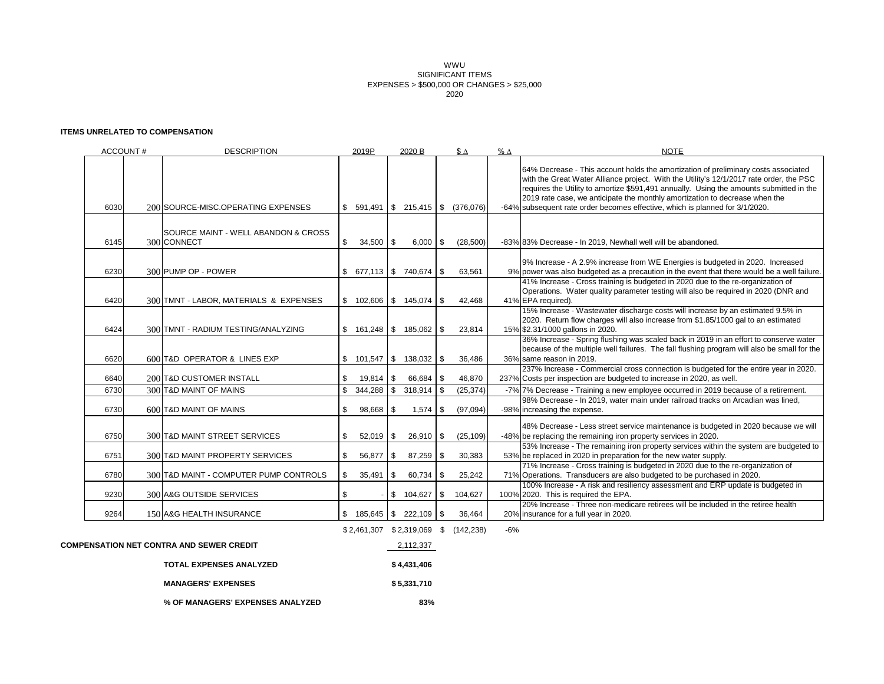WWU SIGNIFICANT ITEMS EXPENSES > \$500,000 OR CHANGES > \$25,000 2020

#### **ITEMS UNRELATED TO COMPENSATION**

| ACCOUNT# | <b>DESCRIPTION</b>                                 |     | 2019P        | 2020 B                            |           | $$ \Delta$                           | $% \Delta$ | <b>NOTE</b>                                                                                                                                                                                                                                                                                                                                                                                                                             |
|----------|----------------------------------------------------|-----|--------------|-----------------------------------|-----------|--------------------------------------|------------|-----------------------------------------------------------------------------------------------------------------------------------------------------------------------------------------------------------------------------------------------------------------------------------------------------------------------------------------------------------------------------------------------------------------------------------------|
| 6030     | 200 SOURCE-MISC.OPERATING EXPENSES                 | S.  |              | 591,491   \$215,415   \$(376,076) |           |                                      |            | 64% Decrease - This account holds the amortization of preliminary costs associated<br>with the Great Water Alliance project. With the Utility's 12/1/2017 rate order, the PSC<br>requires the Utility to amortize \$591,491 annually. Using the amounts submitted in the<br>2019 rate case, we anticipate the monthly amortization to decrease when the<br>-64% subsequent rate order becomes effective, which is planned for 3/1/2020. |
| 6145     | SOURCE MAINT - WELL ABANDON & CROSS<br>300 CONNECT | \$  | $34,500$ \$  | 6,000                             | \$        | (28, 500)                            |            | -83% 83% Decrease - In 2019, Newhall well will be abandoned.                                                                                                                                                                                                                                                                                                                                                                            |
| 6230     | 300 PUMP OP - POWER                                |     |              | $$677,113$ $$740,674$             | \$        | 63,561                               |            | 9% Increase - A 2.9% increase from WE Energies is budgeted in 2020. Increased<br>9% power was also budgeted as a precaution in the event that there would be a well failure.<br>41% Increase - Cross training is budgeted in 2020 due to the re-organization of<br>Operations. Water quality parameter testing will also be required in 2020 (DNR and                                                                                   |
| 6420     | 300 TMNT - LABOR, MATERIALS & EXPENSES             |     |              | $$102,606$ $$145,074$ $$$         |           | 42,468                               |            | 41% EPA required).                                                                                                                                                                                                                                                                                                                                                                                                                      |
| 6424     | 300 TMNT - RADIUM TESTING/ANALYZING                |     |              | $$161,248$ \ $$185,062$           | \$        | 23,814                               |            | 15% Increase - Wastewater discharge costs will increase by an estimated 9.5% in<br>2020. Return flow charges will also increase from \$1.85/1000 gal to an estimated<br>15% \$2.31/1000 gallons in 2020.                                                                                                                                                                                                                                |
| 6620     | 600 T&D OPERATOR & LINES EXP                       | \$  |              | 101,547 \$ 138,032                | \$        | 36,486                               |            | 36% Increase - Spring flushing was scaled back in 2019 in an effort to conserve water<br>because of the multiple well failures. The fall flushing program will also be small for the<br>36% same reason in 2019.                                                                                                                                                                                                                        |
| 6640     | 200 T&D CUSTOMER INSTALL                           | \$  | $19,814$ \$  | 66,684                            | <b>\$</b> | 46,870                               |            | 237% Increase - Commercial cross connection is budgeted for the entire year in 2020.<br>237% Costs per inspection are budgeted to increase in 2020, as well.                                                                                                                                                                                                                                                                            |
| 6730     | 300 T&D MAINT OF MAINS                             | \$  | $344,288$ \$ | $318,914$ \$                      |           | (25, 374)                            |            | -7% 7% Decrease - Training a new employee occurred in 2019 because of a retirement.                                                                                                                                                                                                                                                                                                                                                     |
| 6730     | 600 T&D MAINT OF MAINS                             | \$  | 98,668 \$    | 1,574                             | \$        | (97,094)                             |            | 98% Decrease - In 2019, water main under railroad tracks on Arcadian was lined,<br>-98% increasing the expense.                                                                                                                                                                                                                                                                                                                         |
| 6750     | 300 T&D MAINT STREET SERVICES                      | \$. | $52,019$ \$  | $26,910$ \$                       |           | (25, 109)                            |            | 48% Decrease - Less street service maintenance is budgeted in 2020 because we will<br>-48% be replacing the remaining iron property services in 2020.                                                                                                                                                                                                                                                                                   |
| 6751     | 300 T&D MAINT PROPERTY SERVICES                    | \$  | 56,877 \$    | 87,259                            | \$        | 30,383                               |            | 53% Increase - The remaining iron property services within the system are budgeted to<br>53% be replaced in 2020 in preparation for the new water supply.                                                                                                                                                                                                                                                                               |
| 6780     | 300 T&D MAINT - COMPUTER PUMP CONTROLS             | \$  | $35,491$ \$  | 60,734                            | \$        | 25,242                               |            | 71% Increase - Cross training is budgeted in 2020 due to the re-organization of<br>71% Operations. Transducers are also budgeted to be purchased in 2020.<br>100% Increase - A risk and resiliency assessment and ERP update is budgeted in                                                                                                                                                                                             |
| 9230     | 300 A&G OUTSIDE SERVICES                           | \$  |              | \$104,627                         | \$        | 104,627                              |            | 100% 2020. This is required the EPA.                                                                                                                                                                                                                                                                                                                                                                                                    |
| 9264     | 150 A&G HEALTH INSURANCE                           | \$  |              | 185,645   \$222,109               | \$        | 36,464                               |            | 20% Increase - Three non-medicare retirees will be included in the retiree health<br>20% insurance for a full year in 2020.                                                                                                                                                                                                                                                                                                             |
|          | COMPENSATION NET CONTRA AND SEWER CREDIT           |     |              | 2,112,337                         |           | \$2,461,307 \$2,319,069 \$ (142,238) | $-6%$      |                                                                                                                                                                                                                                                                                                                                                                                                                                         |
|          | TOTAL EXPENSES ANALYZED                            |     |              | \$4,431,406                       |           |                                      |            |                                                                                                                                                                                                                                                                                                                                                                                                                                         |

**MANAGERS' EXPENSES \$ 5,331,710**

**% OF MANAGERS' EXPENSES ANALYZED 83%**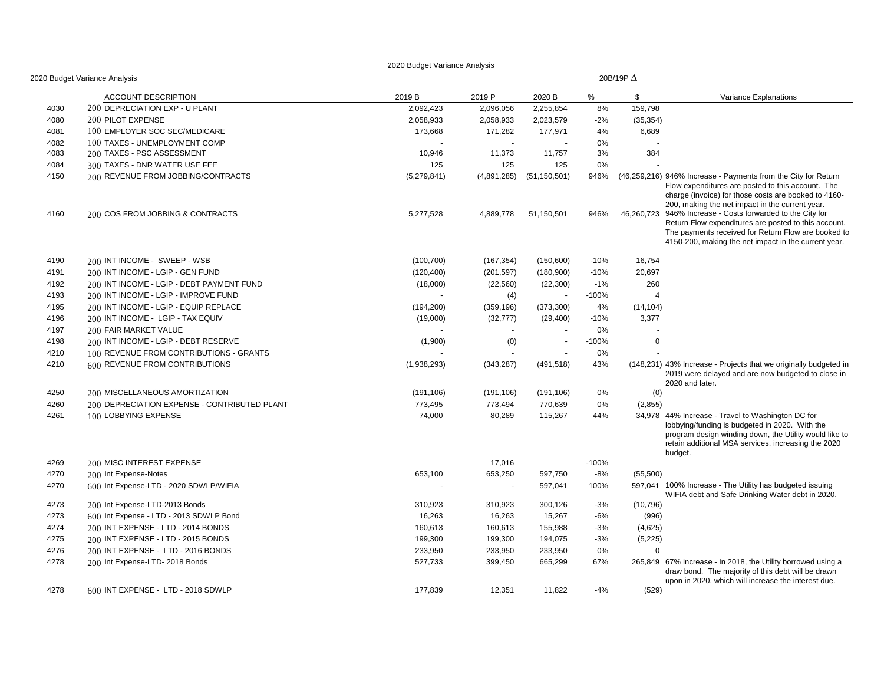|      | 2020 Budget Variance Analysis                |             |                |                |         | 20B/19P $\Delta$ |                                                                                                                                                                                                                                   |
|------|----------------------------------------------|-------------|----------------|----------------|---------|------------------|-----------------------------------------------------------------------------------------------------------------------------------------------------------------------------------------------------------------------------------|
|      | ACCOUNT DESCRIPTION                          | 2019 B      | 2019 P         | 2020 B         | %       | \$               | Variance Explanations                                                                                                                                                                                                             |
| 4030 | 200 DEPRECIATION EXP - U PLANT               | 2,092,423   | 2,096,056      | 2,255,854      | 8%      | 159,798          |                                                                                                                                                                                                                                   |
| 4080 | 200 PILOT EXPENSE                            | 2,058,933   | 2,058,933      | 2,023,579      | $-2%$   | (35, 354)        |                                                                                                                                                                                                                                   |
| 4081 | 100 EMPLOYER SOC SEC/MEDICARE                | 173,668     | 171,282        | 177,971        | 4%      | 6,689            |                                                                                                                                                                                                                                   |
| 4082 | 100 TAXES - UNEMPLOYMENT COMP                |             | $\overline{a}$ |                | 0%      |                  |                                                                                                                                                                                                                                   |
| 4083 | 200 TAXES - PSC ASSESSMENT                   | 10,946      | 11,373         | 11,757         | 3%      | 384              |                                                                                                                                                                                                                                   |
| 4084 | 300 TAXES - DNR WATER USE FEE                | 125         | 125            | 125            | 0%      |                  |                                                                                                                                                                                                                                   |
| 4150 | 200 REVENUE FROM JOBBING/CONTRACTS           | (5,279,841) | (4,891,285)    | (51, 150, 501) | 946%    |                  | (46,259,216) 946% Increase - Payments from the City for Return<br>Flow expenditures are posted to this account. The<br>charge (invoice) for those costs are booked to 4160-<br>200, making the net impact in the current year.    |
| 4160 | 200 COS FROM JOBBING & CONTRACTS             | 5,277,528   | 4,889,778      | 51,150,501     | 946%    |                  | 46,260,723 946% Increase - Costs forwarded to the City for<br>Return Flow expenditures are posted to this account.<br>The payments received for Return Flow are booked to<br>4150-200, making the net impact in the current year. |
| 4190 | 200 INT INCOME - SWEEP - WSB                 | (100, 700)  | (167, 354)     | (150,600)      | $-10%$  | 16,754           |                                                                                                                                                                                                                                   |
| 4191 | 200 INT INCOME - LGIP - GEN FUND             | (120, 400)  | (201, 597)     | (180,900)      | $-10%$  | 20,697           |                                                                                                                                                                                                                                   |
| 4192 | 200 INT INCOME - LGIP - DEBT PAYMENT FUND    | (18,000)    | (22, 560)      | (22, 300)      | $-1%$   | 260              |                                                                                                                                                                                                                                   |
| 4193 | 200 INT INCOME - LGIP - IMPROVE FUND         |             | (4)            | $\sim$         | $-100%$ | $\overline{4}$   |                                                                                                                                                                                                                                   |
| 4195 | 200 INT INCOME - LGIP - EQUIP REPLACE        | (194, 200)  | (359, 196)     | (373,300)      | 4%      | (14, 104)        |                                                                                                                                                                                                                                   |
| 4196 | 200 INT INCOME - LGIP - TAX EQUIV            | (19,000)    | (32, 777)      | (29, 400)      | $-10%$  | 3,377            |                                                                                                                                                                                                                                   |
| 4197 | 200 FAIR MARKET VALUE                        |             |                |                | 0%      |                  |                                                                                                                                                                                                                                   |
| 4198 | 200 INT INCOME - LGIP - DEBT RESERVE         | (1,900)     | (0)            | $\sim$         | $-100%$ | $\mathbf 0$      |                                                                                                                                                                                                                                   |
| 4210 | 100 REVENUE FROM CONTRIBUTIONS - GRANTS      |             |                |                | 0%      |                  |                                                                                                                                                                                                                                   |
| 4210 | 600 REVENUE FROM CONTRIBUTIONS               | (1,938,293) | (343, 287)     | (491, 518)     | 43%     |                  | (148,231) 43% Increase - Projects that we originally budgeted in<br>2019 were delayed and are now budgeted to close in<br>2020 and later.                                                                                         |
| 4250 | 200 MISCELLANEOUS AMORTIZATION               | (191, 106)  | (191, 106)     | (191, 106)     | 0%      | (0)              |                                                                                                                                                                                                                                   |
| 4260 | 200 DEPRECIATION EXPENSE - CONTRIBUTED PLANT | 773,495     | 773,494        | 770,639        | 0%      | (2,855)          |                                                                                                                                                                                                                                   |
| 4261 | 100 LOBBYING EXPENSE                         | 74,000      | 80,289         | 115,267        | 44%     |                  | 34,978 44% Increase - Travel to Washington DC for<br>lobbying/funding is budgeted in 2020. With the<br>program design winding down, the Utility would like to<br>retain additional MSA services, increasing the 2020<br>budget.   |
| 4269 | 200 MISC INTEREST EXPENSE                    |             | 17,016         |                | $-100%$ |                  |                                                                                                                                                                                                                                   |
| 4270 | 200 Int Expense-Notes                        | 653,100     | 653,250        | 597,750        | $-8%$   | (55,500)         |                                                                                                                                                                                                                                   |
| 4270 | 600 Int Expense-LTD - 2020 SDWLP/WIFIA       |             | $\sim$         | 597,041        | 100%    |                  | 597,041 100% Increase - The Utility has budgeted issuing<br>WIFIA debt and Safe Drinking Water debt in 2020.                                                                                                                      |
| 4273 | 200 Int Expense-LTD-2013 Bonds               | 310,923     | 310,923        | 300,126        | $-3%$   | (10, 796)        |                                                                                                                                                                                                                                   |
| 4273 | 600 Int Expense - LTD - 2013 SDWLP Bond      | 16,263      | 16,263         | 15,267         | $-6%$   | (996)            |                                                                                                                                                                                                                                   |
| 4274 | 200 INT EXPENSE - LTD - 2014 BONDS           | 160,613     | 160,613        | 155,988        | $-3%$   | (4,625)          |                                                                                                                                                                                                                                   |
| 4275 | 200 INT EXPENSE - LTD - 2015 BONDS           | 199,300     | 199,300        | 194,075        | $-3%$   | (5, 225)         |                                                                                                                                                                                                                                   |
| 4276 | 200 INT EXPENSE - LTD - 2016 BONDS           | 233,950     | 233,950        | 233,950        | 0%      | $\mathbf 0$      |                                                                                                                                                                                                                                   |
| 4278 | 200 Int Expense-LTD- 2018 Bonds              | 527,733     | 399,450        | 665,299        | 67%     |                  | 265,849 67% Increase - In 2018, the Utility borrowed using a<br>draw bond. The majority of this debt will be drawn<br>upon in 2020, which will increase the interest due.                                                         |
| 4278 | 600 INT EXPENSE - LTD - 2018 SDWLP           | 177,839     | 12,351         | 11,822         | $-4%$   | (529)            |                                                                                                                                                                                                                                   |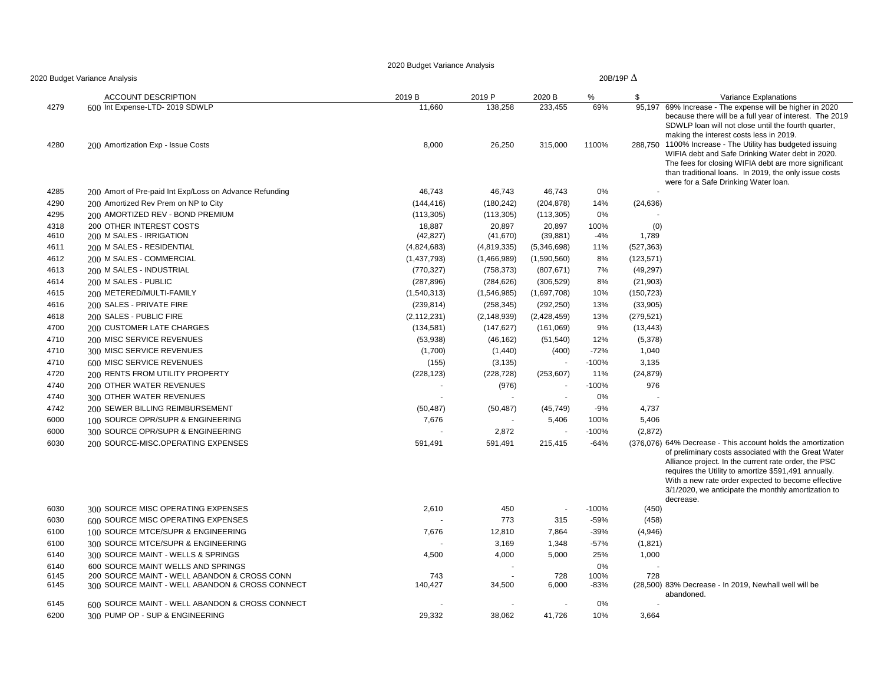|              | 2020 Budget Variance Analysis                                                      |               |               |                          |           | 20B/19P $\Delta$ |                                                                                                                                                                                                                                                                                                                                                                |
|--------------|------------------------------------------------------------------------------------|---------------|---------------|--------------------------|-----------|------------------|----------------------------------------------------------------------------------------------------------------------------------------------------------------------------------------------------------------------------------------------------------------------------------------------------------------------------------------------------------------|
|              | <b>ACCOUNT DESCRIPTION</b>                                                         | 2019 B        | 2019 P        | 2020 B                   | %         | \$               | Variance Explanations                                                                                                                                                                                                                                                                                                                                          |
| 4279         | 600 Int Expense-LTD- 2019 SDWLP                                                    | 11,660        | 138,258       | 233,455                  | 69%       | 95.197           | 69% Increase - The expense will be higher in 2020<br>because there will be a full year of interest. The 2019<br>SDWLP loan will not close until the fourth quarter,<br>making the interest costs less in 2019.                                                                                                                                                 |
| 4280         | 200 Amortization Exp - Issue Costs                                                 | 8,000         | 26,250        | 315,000                  | 1100%     | 288,750          | 1100% Increase - The Utility has budgeted issuing<br>WIFIA debt and Safe Drinking Water debt in 2020.<br>The fees for closing WIFIA debt are more significant<br>than traditional loans. In 2019, the only issue costs<br>were for a Safe Drinking Water Ioan.                                                                                                 |
| 4285         | 200 Amort of Pre-paid Int Exp/Loss on Advance Refunding                            | 46,743        | 46,743        | 46,743                   | 0%        |                  |                                                                                                                                                                                                                                                                                                                                                                |
| 4290         | 200 Amortized Rev Prem on NP to City                                               | (144, 416)    | (180, 242)    | (204, 878)               | 14%       | (24, 636)        |                                                                                                                                                                                                                                                                                                                                                                |
| 4295         | 200 AMORTIZED REV - BOND PREMIUM                                                   | (113, 305)    | (113, 305)    | (113, 305)               | 0%        |                  |                                                                                                                                                                                                                                                                                                                                                                |
| 4318         | <b>200 OTHER INTEREST COSTS</b>                                                    | 18,887        | 20,897        | 20,897                   | 100%      | (0)              |                                                                                                                                                                                                                                                                                                                                                                |
| 4610         | 200 M SALES - IRRIGATION                                                           | (42, 827)     | (41, 670)     | (39, 881)                | -4%       | 1,789            |                                                                                                                                                                                                                                                                                                                                                                |
| 4611         | 200 M SALES - RESIDENTIAL                                                          | (4,824,683)   | (4,819,335)   | (5,346,698)              | 11%       | (527, 363)       |                                                                                                                                                                                                                                                                                                                                                                |
| 4612         | 200 M SALES - COMMERCIAL                                                           | (1,437,793)   | (1,466,989)   | (1,590,560)              | 8%        | (123, 571)       |                                                                                                                                                                                                                                                                                                                                                                |
| 4613         | 200 M SALES - INDUSTRIAL                                                           | (770, 327)    | (758, 373)    | (807, 671)               | 7%        | (49, 297)        |                                                                                                                                                                                                                                                                                                                                                                |
| 4614         | 200 M SALES - PUBLIC                                                               | (287, 896)    | (284, 626)    | (306, 529)               | 8%        | (21, 903)        |                                                                                                                                                                                                                                                                                                                                                                |
| 4615         | 200 METERED/MULTI-FAMILY                                                           | (1,540,313)   | (1,546,985)   | (1,697,708)              | 10%       | (150, 723)       |                                                                                                                                                                                                                                                                                                                                                                |
| 4616         | 200 SALES - PRIVATE FIRE                                                           | (239, 814)    | (258, 345)    | (292, 250)               | 13%       | (33,905)         |                                                                                                                                                                                                                                                                                                                                                                |
| 4618         | 200 SALES - PUBLIC FIRE                                                            | (2, 112, 231) | (2, 148, 939) | (2,428,459)              | 13%       | (279, 521)       |                                                                                                                                                                                                                                                                                                                                                                |
| 4700         | 200 CUSTOMER LATE CHARGES                                                          | (134, 581)    | (147, 627)    | (161,069)                | 9%        | (13, 443)        |                                                                                                                                                                                                                                                                                                                                                                |
| 4710         | 200 MISC SERVICE REVENUES                                                          | (53,938)      | (46, 162)     | (51, 540)                | 12%       | (5,378)          |                                                                                                                                                                                                                                                                                                                                                                |
| 4710         | 300 MISC SERVICE REVENUES                                                          | (1,700)       | (1,440)       | (400)                    | $-72%$    | 1,040            |                                                                                                                                                                                                                                                                                                                                                                |
| 4710         | 600 MISC SERVICE REVENUES                                                          | (155)         | (3, 135)      |                          | $-100%$   | 3,135            |                                                                                                                                                                                                                                                                                                                                                                |
| 4720         | 200 RENTS FROM UTILITY PROPERTY                                                    | (228, 123)    | (228, 728)    | (253, 607)               | 11%       | (24, 879)        |                                                                                                                                                                                                                                                                                                                                                                |
| 4740         | 200 OTHER WATER REVENUES                                                           |               | (976)         |                          | $-100%$   | 976              |                                                                                                                                                                                                                                                                                                                                                                |
| 4740         | 300 OTHER WATER REVENUES                                                           | ÷,            |               | $\overline{\phantom{a}}$ | 0%        |                  |                                                                                                                                                                                                                                                                                                                                                                |
| 4742         | 200 SEWER BILLING REIMBURSEMENT                                                    | (50, 487)     | (50, 487)     | (45, 749)                | $-9%$     | 4,737            |                                                                                                                                                                                                                                                                                                                                                                |
| 6000         | 100 SOURCE OPR/SUPR & ENGINEERING                                                  | 7,676         |               | 5,406                    | 100%      | 5,406            |                                                                                                                                                                                                                                                                                                                                                                |
| 6000         | 300 SOURCE OPR/SUPR & ENGINEERING                                                  |               | 2,872         |                          | $-100%$   | (2,872)          |                                                                                                                                                                                                                                                                                                                                                                |
| 6030         | 200 SOURCE-MISC.OPERATING EXPENSES                                                 | 591,491       | 591,491       | 215,415                  | $-64%$    |                  | (376,076) 64% Decrease - This account holds the amortization<br>of preliminary costs associated with the Great Water<br>Alliance project. In the current rate order, the PSC<br>requires the Utility to amortize \$591,491 annually.<br>With a new rate order expected to become effective<br>3/1/2020, we anticipate the monthly amortization to<br>decrease. |
| 6030         | 300 SOURCE MISC OPERATING EXPENSES                                                 | 2,610         | 450           | ÷.                       | $-100%$   | (450)            |                                                                                                                                                                                                                                                                                                                                                                |
| 6030         | 600 SOURCE MISC OPERATING EXPENSES                                                 |               | 773           | 315                      | $-59%$    | (458)            |                                                                                                                                                                                                                                                                                                                                                                |
| 6100         | 100 SOURCE MTCE/SUPR & ENGINEERING                                                 | 7,676         | 12,810        | 7,864                    | $-39%$    | (4,946)          |                                                                                                                                                                                                                                                                                                                                                                |
| 6100         | 300 SOURCE MTCE/SUPR & ENGINEERING                                                 |               | 3,169         | 1,348                    | $-57%$    | (1,821)          |                                                                                                                                                                                                                                                                                                                                                                |
| 6140         | 300 SOURCE MAINT - WELLS & SPRINGS                                                 | 4,500         | 4,000         | 5,000                    | 25%       | 1,000            |                                                                                                                                                                                                                                                                                                                                                                |
| 6140         | 600 SOURCE MAINT WELLS AND SPRINGS                                                 |               |               |                          | 0%        |                  |                                                                                                                                                                                                                                                                                                                                                                |
| 6145         | 200 SOURCE MAINT - WELL ABANDON & CROSS CONN                                       | 743           |               | 728                      | 100%      | 728              |                                                                                                                                                                                                                                                                                                                                                                |
| 6145<br>6145 | 300 SOURCE MAINT - WELL ABANDON & CROSS CONNECT                                    | 140,427       | 34,500        | 6,000<br>٠.              | $-83%$    |                  | (28,500) 83% Decrease - In 2019, Newhall well will be<br>abandoned.                                                                                                                                                                                                                                                                                            |
| 6200         | 600 SOURCE MAINT - WELL ABANDON & CROSS CONNECT<br>300 PUMP OP - SUP & ENGINEERING | 29,332        | 38,062        | 41,726                   | 0%<br>10% | 3,664            |                                                                                                                                                                                                                                                                                                                                                                |
|              |                                                                                    |               |               |                          |           |                  |                                                                                                                                                                                                                                                                                                                                                                |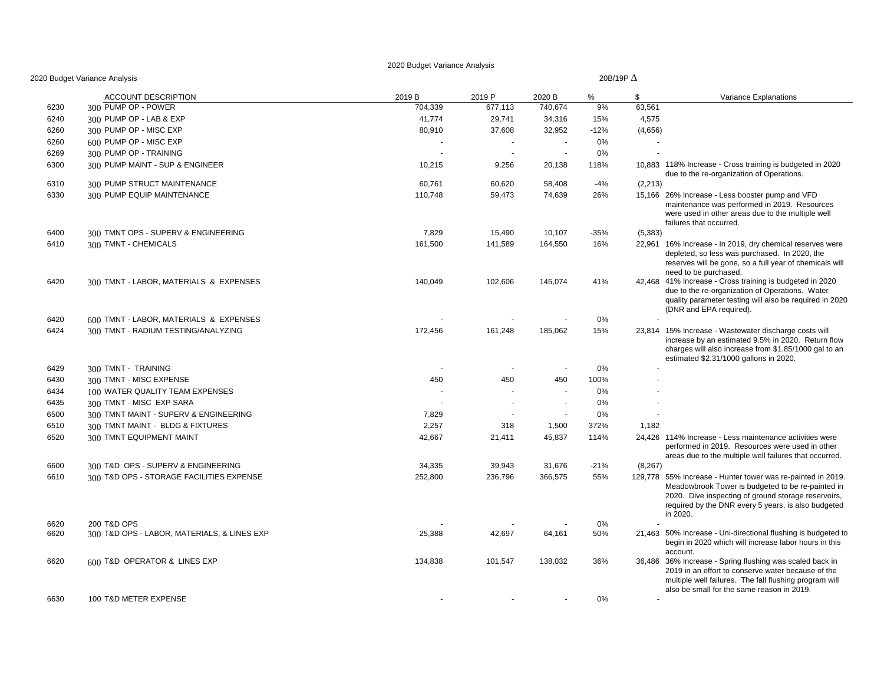|      | 0 Budget Variance Analysis                  |         | 20B/19P $\Delta$         |         |        |          |                                                                                                                                                                                                                                            |  |  |  |  |  |  |  |
|------|---------------------------------------------|---------|--------------------------|---------|--------|----------|--------------------------------------------------------------------------------------------------------------------------------------------------------------------------------------------------------------------------------------------|--|--|--|--|--|--|--|
|      | <b>ACCOUNT DESCRIPTION</b>                  | 2019 B  | 2019 P                   | 2020 B  | %      | S        | Variance Explanations                                                                                                                                                                                                                      |  |  |  |  |  |  |  |
| 6230 | 300 PUMP OP - POWER                         | 704,339 | 677,113                  | 740,674 | 9%     | 63,561   |                                                                                                                                                                                                                                            |  |  |  |  |  |  |  |
| 6240 | 300 PUMP OP - LAB & EXP                     | 41,774  | 29,741                   | 34,316  | 15%    | 4,575    |                                                                                                                                                                                                                                            |  |  |  |  |  |  |  |
| 6260 | 300 PUMP OP - MISC EXP                      | 80,910  | 37,608                   | 32,952  | $-12%$ | (4,656)  |                                                                                                                                                                                                                                            |  |  |  |  |  |  |  |
| 6260 | 600 PUMP OP - MISC EXP                      |         |                          |         | 0%     |          |                                                                                                                                                                                                                                            |  |  |  |  |  |  |  |
| 6269 | 300 PUMP OP - TRAINING                      |         | $\overline{\phantom{a}}$ |         | 0%     |          |                                                                                                                                                                                                                                            |  |  |  |  |  |  |  |
| 6300 | 300 PUMP MAINT - SUP & ENGINEER             | 10,215  | 9,256                    | 20,138  | 118%   |          | 10,883 118% Increase - Cross training is budgeted in 2020<br>due to the re-organization of Operations.                                                                                                                                     |  |  |  |  |  |  |  |
| 6310 | 300 PUMP STRUCT MAINTENANCE                 | 60,761  | 60,620                   | 58,408  | -4%    | (2,213)  |                                                                                                                                                                                                                                            |  |  |  |  |  |  |  |
| 6330 | 300 PUMP EQUIP MAINTENANCE                  | 110,748 | 59,473                   | 74,639  | 26%    |          | 15,166 26% Increase - Less booster pump and VFD<br>maintenance was performed in 2019. Resources<br>were used in other areas due to the multiple well<br>failures that occurred.                                                            |  |  |  |  |  |  |  |
| 6400 | 300 TMNT OPS - SUPERV & ENGINEERING         | 7,829   | 15,490                   | 10,107  | $-35%$ | (5,383)  |                                                                                                                                                                                                                                            |  |  |  |  |  |  |  |
| 6410 | 300 TMNT - CHEMICALS                        | 161,500 | 141,589                  | 164,550 | 16%    |          | 22,961 16% Increase - In 2019, dry chemical reserves were<br>depleted, so less was purchased. In 2020, the<br>reserves will be gone, so a full year of chemicals will<br>need to be purchased.                                             |  |  |  |  |  |  |  |
| 6420 | 300 TMNT - LABOR, MATERIALS & EXPENSES      | 140,049 | 102,606                  | 145,074 | 41%    |          | 42,468 41% Increase - Cross training is budgeted in 2020<br>due to the re-organization of Operations. Water<br>quality parameter testing will also be required in 2020<br>(DNR and EPA required).                                          |  |  |  |  |  |  |  |
| 6420 | 600 TMNT - LABOR, MATERIALS & EXPENSES      |         |                          |         | 0%     |          |                                                                                                                                                                                                                                            |  |  |  |  |  |  |  |
| 6424 | 300 TMNT - RADIUM TESTING/ANALYZING         | 172,456 | 161,248                  | 185,062 | 15%    |          | 23,814 15% Increase - Wastewater discharge costs will<br>increase by an estimated 9.5% in 2020. Return flow<br>charges will also increase from \$1.85/1000 gal to an<br>estimated \$2.31/1000 gallons in 2020.                             |  |  |  |  |  |  |  |
| 6429 | 300 TMNT - TRAINING                         |         |                          |         | 0%     |          |                                                                                                                                                                                                                                            |  |  |  |  |  |  |  |
| 6430 | 300 TMNT - MISC EXPENSE                     | 450     | 450                      | 450     | 100%   |          |                                                                                                                                                                                                                                            |  |  |  |  |  |  |  |
| 6434 | 100 WATER QUALITY TEAM EXPENSES             |         |                          |         | 0%     |          |                                                                                                                                                                                                                                            |  |  |  |  |  |  |  |
| 6435 | 300 TMNT - MISC EXP SARA                    |         |                          | $\sim$  | 0%     |          |                                                                                                                                                                                                                                            |  |  |  |  |  |  |  |
| 6500 | 300 TMNT MAINT - SUPERV & ENGINEERING       | 7,829   |                          | $\sim$  | 0%     |          |                                                                                                                                                                                                                                            |  |  |  |  |  |  |  |
| 6510 | 300 TMNT MAINT - BLDG & FIXTURES            | 2,257   | 318                      | 1,500   | 372%   | 1,182    |                                                                                                                                                                                                                                            |  |  |  |  |  |  |  |
| 6520 | 300 TMNT EQUIPMENT MAINT                    | 42,667  | 21,411                   | 45,837  | 114%   |          | 24,426 114% Increase - Less maintenance activities were<br>performed in 2019. Resources were used in other<br>areas due to the multiple well failures that occurred.                                                                       |  |  |  |  |  |  |  |
| 6600 | 300 T&D OPS - SUPERV & ENGINEERING          | 34,335  | 39,943                   | 31,676  | $-21%$ | (8, 267) |                                                                                                                                                                                                                                            |  |  |  |  |  |  |  |
| 6610 | 300 T&D OPS - STORAGE FACILITIES EXPENSE    | 252,800 | 236,796                  | 366,575 | 55%    |          | 129,778 55% Increase - Hunter tower was re-painted in 2019.<br>Meadowbrook Tower is budgeted to be re-painted in<br>2020. Dive inspecting of ground storage reservoirs,<br>required by the DNR every 5 years, is also budgeted<br>in 2020. |  |  |  |  |  |  |  |
| 6620 | 200 T&D OPS                                 |         |                          |         | 0%     |          |                                                                                                                                                                                                                                            |  |  |  |  |  |  |  |
| 6620 | 300 T&D OPS - LABOR, MATERIALS, & LINES EXP | 25,388  | 42,697                   | 64,161  | 50%    |          | 21,463 50% Increase - Uni-directional flushing is budgeted to<br>begin in 2020 which will increase labor hours in this<br>account.                                                                                                         |  |  |  |  |  |  |  |
| 6620 | 600 T&D OPERATOR & LINES EXP                | 134,838 | 101,547                  | 138,032 | 36%    |          | 36,486 36% Increase - Spring flushing was scaled back in<br>2019 in an effort to conserve water because of the<br>multiple well failures. The fall flushing program will<br>also be small for the same reason in 2019.                     |  |  |  |  |  |  |  |
| 6630 | 100 T&D METER EXPENSE                       |         |                          |         | 0%     |          |                                                                                                                                                                                                                                            |  |  |  |  |  |  |  |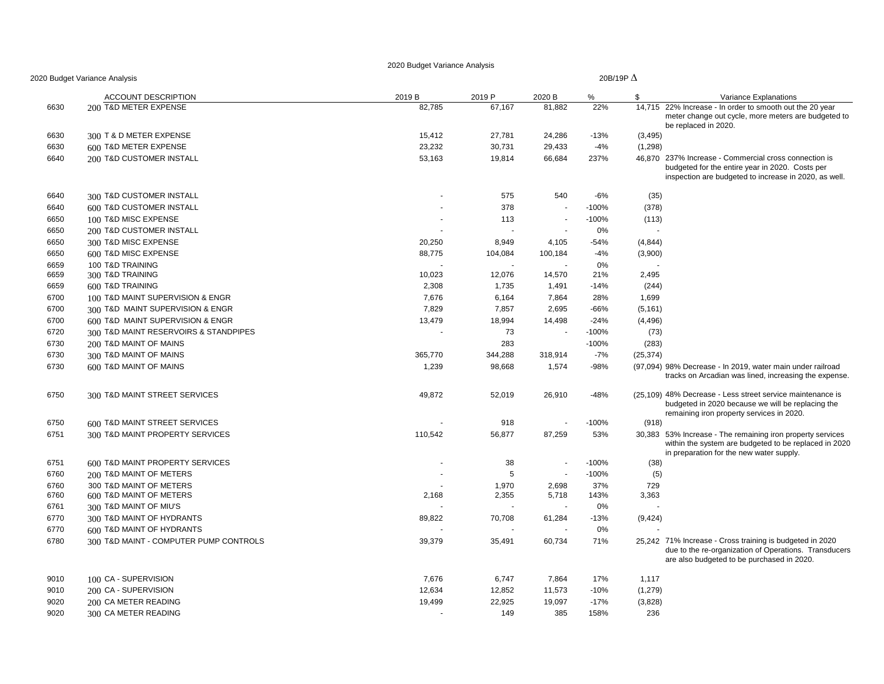| 2020 Budget Variance Analysis |                                        |         | 20B/19P $\Delta$ |         |         |           |                                                                                                                                                                   |  |
|-------------------------------|----------------------------------------|---------|------------------|---------|---------|-----------|-------------------------------------------------------------------------------------------------------------------------------------------------------------------|--|
|                               | <b>ACCOUNT DESCRIPTION</b>             | 2019 B  | 2019 P           | 2020 B  | %       | \$        | Variance Explanations                                                                                                                                             |  |
| 6630                          | 200 T&D METER EXPENSE                  | 82,785  | 67,167           | 81,882  | 22%     |           | 14,715 22% Increase - In order to smooth out the 20 year<br>meter change out cycle, more meters are budgeted to<br>be replaced in 2020.                           |  |
| 6630                          | 300 T & D METER EXPENSE                | 15,412  | 27,781           | 24,286  | $-13%$  | (3, 495)  |                                                                                                                                                                   |  |
| 6630                          | 600 T&D METER EXPENSE                  | 23,232  | 30,731           | 29,433  | -4%     | (1,298)   |                                                                                                                                                                   |  |
| 6640                          | 200 T&D CUSTOMER INSTALL               | 53,163  | 19,814           | 66,684  | 237%    |           | 46.870 237% Increase - Commercial cross connection is<br>budgeted for the entire year in 2020. Costs per<br>inspection are budgeted to increase in 2020, as well. |  |
| 6640                          | 300 T&D CUSTOMER INSTALL               |         | 575              | 540     | -6%     | (35)      |                                                                                                                                                                   |  |
| 6640                          | 600 T&D CUSTOMER INSTALL               |         | 378              | $\sim$  | $-100%$ | (378)     |                                                                                                                                                                   |  |
| 6650                          | 100 T&D MISC EXPENSE                   |         | 113              | $\sim$  | $-100%$ | (113)     |                                                                                                                                                                   |  |
| 6650                          | 200 T&D CUSTOMER INSTALL               |         |                  |         | 0%      |           |                                                                                                                                                                   |  |
| 6650                          | 300 T&D MISC EXPENSE                   | 20,250  | 8,949            | 4,105   | $-54%$  | (4, 844)  |                                                                                                                                                                   |  |
| 6650                          | 600 T&D MISC EXPENSE                   | 88,775  | 104,084          | 100,184 | $-4%$   | (3,900)   |                                                                                                                                                                   |  |
| 6659                          | 100 T&D TRAINING                       |         |                  |         | 0%      |           |                                                                                                                                                                   |  |
| 6659                          | 300 T&D TRAINING                       | 10,023  | 12,076           | 14,570  | 21%     | 2,495     |                                                                                                                                                                   |  |
| 6659                          | 600 T&D TRAINING                       | 2,308   | 1,735            | 1,491   | -14%    | (244)     |                                                                                                                                                                   |  |
| 6700                          | 100 T&D MAINT SUPERVISION & ENGR       | 7,676   | 6,164            | 7,864   | 28%     | 1,699     |                                                                                                                                                                   |  |
| 6700                          | 300 T&D MAINT SUPERVISION & ENGR       | 7,829   | 7,857            | 2,695   | $-66%$  | (5, 161)  |                                                                                                                                                                   |  |
| 6700                          | 600 T&D MAINT SUPERVISION & ENGR       | 13,479  | 18,994           | 14,498  | $-24%$  | (4, 496)  |                                                                                                                                                                   |  |
| 6720                          | 300 T&D MAINT RESERVOIRS & STANDPIPES  |         | 73               | $\sim$  | $-100%$ | (73)      |                                                                                                                                                                   |  |
| 6730                          | 200 T&D MAINT OF MAINS                 |         | 283              |         | $-100%$ | (283)     |                                                                                                                                                                   |  |
| 6730                          | 300 T&D MAINT OF MAINS                 | 365,770 | 344,288          | 318,914 | $-7%$   | (25, 374) |                                                                                                                                                                   |  |
| 6730                          | 600 T&D MAINT OF MAINS                 | 1,239   | 98,668           | 1,574   | $-98%$  |           | (97,094) 98% Decrease - In 2019, water main under railroad<br>tracks on Arcadian was lined, increasing the expense.                                               |  |
| 6750                          | 300 T&D MAINT STREET SERVICES          | 49,872  | 52,019           | 26,910  | -48%    |           | (25,109) 48% Decrease - Less street service maintenance is<br>budgeted in 2020 because we will be replacing the<br>remaining iron property services in 2020.      |  |
| 6750                          | 600 T&D MAINT STREET SERVICES          |         | 918              |         | $-100%$ | (918)     |                                                                                                                                                                   |  |
| 6751                          | 300 T&D MAINT PROPERTY SERVICES        | 110,542 | 56,877           | 87,259  | 53%     |           | 30,383 53% Increase - The remaining iron property services<br>within the system are budgeted to be replaced in 2020<br>in preparation for the new water supply.   |  |
| 6751                          | 600 T&D MAINT PROPERTY SERVICES        |         | 38               | $\sim$  | $-100%$ | (38)      |                                                                                                                                                                   |  |
| 6760                          | 200 T&D MAINT OF METERS                |         | 5                | $\sim$  | $-100%$ | (5)       |                                                                                                                                                                   |  |
| 6760                          | 300 T&D MAINT OF METERS                |         | 1,970            | 2,698   | 37%     | 729       |                                                                                                                                                                   |  |
| 6760                          | 600 T&D MAINT OF METERS                | 2,168   | 2,355            | 5,718   | 143%    | 3,363     |                                                                                                                                                                   |  |
| 6761                          | 300 T&D MAINT OF MIU'S                 |         |                  |         | 0%      |           |                                                                                                                                                                   |  |
| 6770                          | 300 T&D MAINT OF HYDRANTS              | 89,822  | 70,708           | 61,284  | $-13%$  | (9,424)   |                                                                                                                                                                   |  |
| 6770                          | 600 T&D MAINT OF HYDRANTS              |         |                  |         | 0%      |           |                                                                                                                                                                   |  |
| 6780                          | 300 T&D MAINT - COMPUTER PUMP CONTROLS | 39,379  | 35,491           | 60,734  | 71%     |           | 25,242 71% Increase - Cross training is budgeted in 2020<br>due to the re-organization of Operations. Transducers<br>are also budgeted to be purchased in 2020.   |  |
| 9010                          | 100 CA - SUPERVISION                   | 7,676   | 6,747            | 7,864   | 17%     | 1,117     |                                                                                                                                                                   |  |
| 9010                          | 200 CA - SUPERVISION                   | 12,634  | 12,852           | 11,573  | $-10%$  | (1, 279)  |                                                                                                                                                                   |  |
| 9020                          | 200 CA METER READING                   | 19,499  | 22,925           | 19,097  | $-17%$  | (3,828)   |                                                                                                                                                                   |  |
| 9020                          | 300 CA METER READING                   |         | 149              | 385     | 158%    | 236       |                                                                                                                                                                   |  |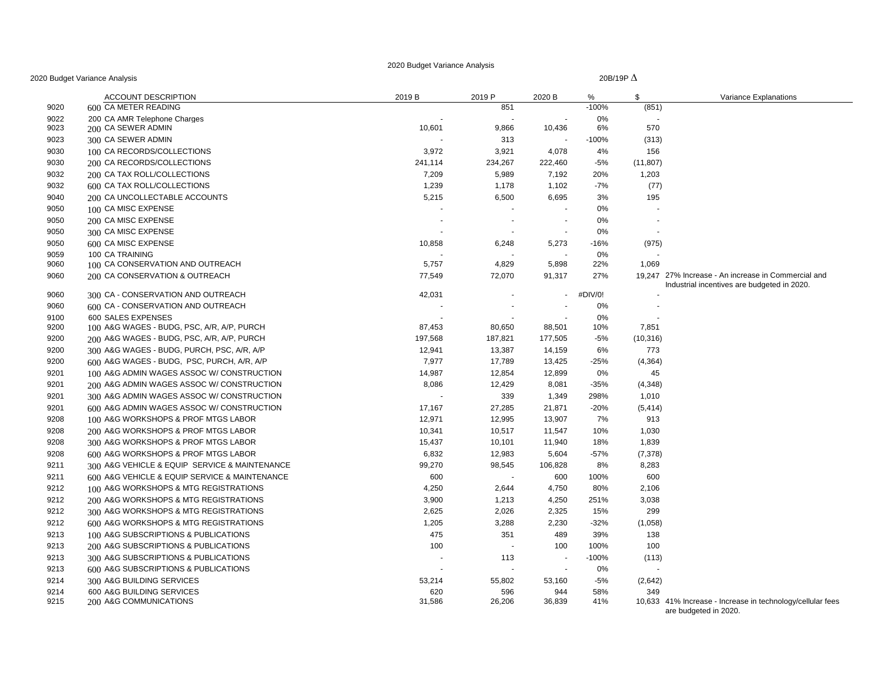| 2020 Budget Variance Analysis |  |  |  |
|-------------------------------|--|--|--|
|-------------------------------|--|--|--|

|              | 20 Budget Variance Analysis                   |               | 20B/19P $\Delta$ |                          |            |           |                                                                                                    |  |
|--------------|-----------------------------------------------|---------------|------------------|--------------------------|------------|-----------|----------------------------------------------------------------------------------------------------|--|
|              | <b>ACCOUNT DESCRIPTION</b>                    | 2019 B        | 2019 P           | 2020 B                   | %          | \$        | Variance Explanations                                                                              |  |
| 9020         | 600 CA METER READING                          |               | 851              |                          | $-100%$    | (851)     |                                                                                                    |  |
| 9022         | 200 CA AMR Telephone Charges                  |               |                  |                          | 0%         |           |                                                                                                    |  |
| 9023         | 200 CA SEWER ADMIN                            | 10,601        | 9,866            | 10,436                   | 6%         | 570       |                                                                                                    |  |
| 9023         | 300 CA SEWER ADMIN                            |               | 313              |                          | $-100%$    | (313)     |                                                                                                    |  |
| 9030         | 100 CA RECORDS/COLLECTIONS                    | 3,972         | 3,921            | 4,078                    | 4%         | 156       |                                                                                                    |  |
| 9030         | 200 CA RECORDS/COLLECTIONS                    | 241,114       | 234,267          | 222,460                  | $-5%$      | (11, 807) |                                                                                                    |  |
| 9032         | 200 CA TAX ROLL/COLLECTIONS                   | 7,209         | 5,989            | 7,192                    | 20%        | 1,203     |                                                                                                    |  |
| 9032         | 600 CA TAX ROLL/COLLECTIONS                   | 1,239         | 1,178            | 1,102                    | $-7%$      | (77)      |                                                                                                    |  |
| 9040         | 200 CA UNCOLLECTABLE ACCOUNTS                 | 5,215         | 6,500            | 6,695                    | 3%         | 195       |                                                                                                    |  |
| 9050         | 100 CA MISC EXPENSE                           |               |                  |                          | 0%         |           |                                                                                                    |  |
| 9050         | 200 CA MISC EXPENSE                           | $\sim$        |                  | $\overline{\phantom{a}}$ | 0%         |           |                                                                                                    |  |
| 9050         | 300 CA MISC EXPENSE                           |               |                  |                          | 0%         |           |                                                                                                    |  |
| 9050         | 600 CA MISC EXPENSE                           | 10,858        | 6,248            | 5,273                    | $-16%$     | (975)     |                                                                                                    |  |
| 9059         | 100 CA TRAINING                               |               |                  |                          | 0%         |           |                                                                                                    |  |
| 9060         | 100 CA CONSERVATION AND OUTREACH              | 5,757         | 4,829            | 5,898                    | 22%        | 1,069     |                                                                                                    |  |
| 9060         | 200 CA CONSERVATION & OUTREACH                | 77,549        | 72,070           | 91,317                   | 27%        |           | 19,247 27% Increase - An increase in Commercial and<br>Industrial incentives are budgeted in 2020. |  |
| 9060         | 300 CA - CONSERVATION AND OUTREACH            | 42,031        |                  | $\sim$                   | #DIV/0!    |           |                                                                                                    |  |
| 9060         | 600 CA - CONSERVATION AND OUTREACH            |               |                  |                          | 0%         |           |                                                                                                    |  |
| 9100         | 600 SALES EXPENSES                            |               |                  |                          | 0%         |           |                                                                                                    |  |
| 9200         | 100 A&G WAGES - BUDG, PSC, A/R, A/P, PURCH    | 87,453        | 80,650           | 88,501                   | 10%        | 7,851     |                                                                                                    |  |
| 9200         | 200 A&G WAGES - BUDG, PSC, A/R, A/P, PURCH    | 197,568       | 187,821          | 177,505                  | $-5%$      | (10, 316) |                                                                                                    |  |
| 9200         | 300 A&G WAGES - BUDG, PURCH, PSC, A/R, A/P    | 12,941        | 13,387           | 14,159                   | 6%         | 773       |                                                                                                    |  |
| 9200         | 600 A&G WAGES - BUDG, PSC, PURCH, A/R, A/P    | 7,977         | 17,789           | 13,425                   | $-25%$     | (4, 364)  |                                                                                                    |  |
| 9201         | 100 A&G ADMIN WAGES ASSOC W/ CONSTRUCTION     | 14,987        | 12,854           | 12,899                   | 0%         | 45        |                                                                                                    |  |
| 9201         | 200 A&G ADMIN WAGES ASSOC W/ CONSTRUCTION     | 8,086         | 12,429           | 8,081                    | $-35%$     | (4,348)   |                                                                                                    |  |
| 9201         | 300 A&G ADMIN WAGES ASSOC W/ CONSTRUCTION     |               | 339              | 1,349                    | 298%       | 1,010     |                                                                                                    |  |
| 9201         | 600 A&G ADMIN WAGES ASSOC W/ CONSTRUCTION     | 17,167        | 27,285           | 21,871                   | $-20%$     | (5, 414)  |                                                                                                    |  |
| 9208         | 100 A&G WORKSHOPS & PROF MTGS LABOR           | 12,971        | 12,995           | 13,907                   | 7%         | 913       |                                                                                                    |  |
| 9208         | 200 A&G WORKSHOPS & PROF MTGS LABOR           | 10,341        | 10,517           | 11,547                   | 10%        | 1,030     |                                                                                                    |  |
| 9208         | 300 A&G WORKSHOPS & PROF MTGS LABOR           | 15,437        | 10,101           | 11,940                   | 18%        | 1,839     |                                                                                                    |  |
| 9208         | 600 A&G WORKSHOPS & PROF MTGS LABOR           | 6,832         | 12,983           | 5,604                    | $-57%$     | (7, 378)  |                                                                                                    |  |
| 9211         | 300 A&G VEHICLE & EQUIP SERVICE & MAINTENANCE | 99,270        | 98,545           | 106,828                  | 8%         | 8,283     |                                                                                                    |  |
| 9211         | 600 A&G VEHICLE & EQUIP SERVICE & MAINTENANCE | 600           |                  | 600                      | 100%       | 600       |                                                                                                    |  |
| 9212         | 100 A&G WORKSHOPS & MTG REGISTRATIONS         | 4,250         | 2,644            | 4,750                    | 80%        | 2,106     |                                                                                                    |  |
| 9212         | 200 A&G WORKSHOPS & MTG REGISTRATIONS         | 3,900         | 1,213            | 4,250                    | 251%       | 3,038     |                                                                                                    |  |
| 9212         | 300 A&G WORKSHOPS & MTG REGISTRATIONS         | 2,625         | 2,026            | 2,325                    | 15%        | 299       |                                                                                                    |  |
| 9212         | 600 A&G WORKSHOPS & MTG REGISTRATIONS         | 1,205         | 3,288            | 2,230                    | $-32%$     | (1,058)   |                                                                                                    |  |
| 9213         | 100 A&G SUBSCRIPTIONS & PUBLICATIONS          | 475           | 351              | 489                      | 39%        | 138       |                                                                                                    |  |
| 9213         |                                               | 100           |                  | 100                      |            | 100       |                                                                                                    |  |
|              | 200 A&G SUBSCRIPTIONS & PUBLICATIONS          |               |                  |                          | 100%       |           |                                                                                                    |  |
| 9213         | 300 A&G SUBSCRIPTIONS & PUBLICATIONS          |               | 113              |                          | $-100%$    | (113)     |                                                                                                    |  |
| 9213         | 600 A&G SUBSCRIPTIONS & PUBLICATIONS          |               |                  |                          | 0%         |           |                                                                                                    |  |
| 9214         | 300 A&G BUILDING SERVICES                     | 53,214        | 55,802           | 53,160                   | $-5%$      | (2,642)   |                                                                                                    |  |
| 9214<br>9215 | 600 A&G BUILDING SERVICES                     | 620<br>31,586 | 596<br>26,206    | 944<br>36,839            | 58%<br>41% | 349       | 10,633 41% Increase - Increase in technology/cellular fees                                         |  |
|              | 200 A&G COMMUNICATIONS                        |               |                  |                          |            |           | are budgeted in 2020.                                                                              |  |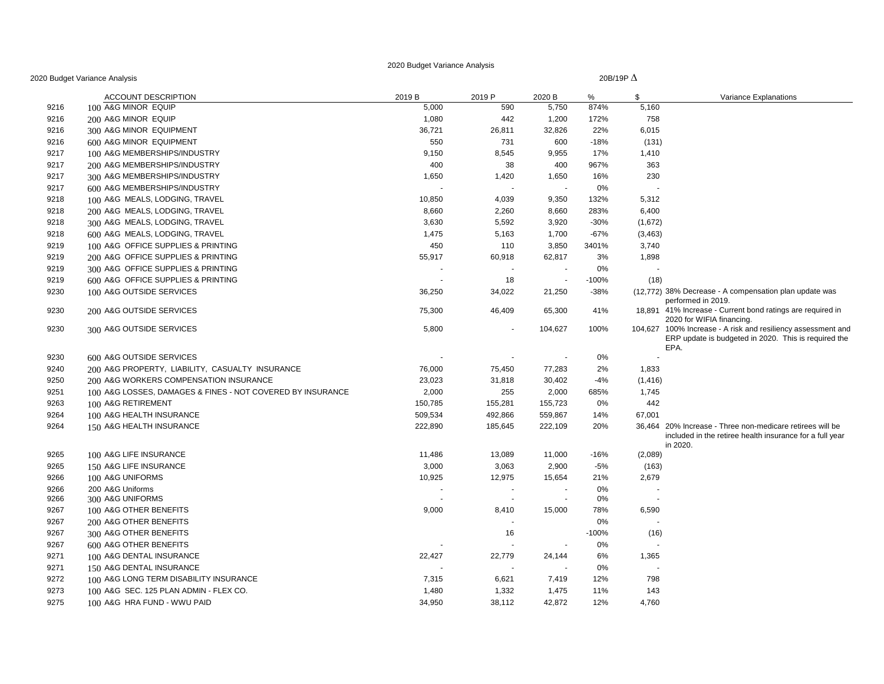20B/19P ∆

|      | <b>ACCOUNT DESCRIPTION</b>                                 | 2019 B  | 2019 P                   | 2020 B                   | %       | \$       | Variance Explanations                                                                                                             |
|------|------------------------------------------------------------|---------|--------------------------|--------------------------|---------|----------|-----------------------------------------------------------------------------------------------------------------------------------|
| 9216 | 100 A&G MINOR EQUIP                                        | 5,000   | 590                      | 5,750                    | 874%    | 5,160    |                                                                                                                                   |
| 9216 | 200 A&G MINOR EQUIP                                        | 1,080   | 442                      | 1,200                    | 172%    | 758      |                                                                                                                                   |
| 9216 | 300 A&G MINOR EQUIPMENT                                    | 36,721  | 26,811                   | 32,826                   | 22%     | 6,015    |                                                                                                                                   |
| 9216 | 600 A&G MINOR EQUIPMENT                                    | 550     | 731                      | 600                      | $-18%$  | (131)    |                                                                                                                                   |
| 9217 | 100 A&G MEMBERSHIPS/INDUSTRY                               | 9,150   | 8,545                    | 9,955                    | 17%     | 1,410    |                                                                                                                                   |
| 9217 | 200 A&G MEMBERSHIPS/INDUSTRY                               | 400     | 38                       | 400                      | 967%    | 363      |                                                                                                                                   |
| 9217 | 300 A&G MEMBERSHIPS/INDUSTRY                               | 1,650   | 1,420                    | 1,650                    | 16%     | 230      |                                                                                                                                   |
| 9217 | 600 A&G MEMBERSHIPS/INDUSTRY                               |         | $\overline{\phantom{a}}$ |                          | 0%      |          |                                                                                                                                   |
| 9218 | 100 A&G MEALS, LODGING, TRAVEL                             | 10,850  | 4,039                    | 9,350                    | 132%    | 5,312    |                                                                                                                                   |
| 9218 | 200 A&G MEALS, LODGING, TRAVEL                             | 8,660   | 2,260                    | 8,660                    | 283%    | 6,400    |                                                                                                                                   |
| 9218 | 300 A&G MEALS, LODGING, TRAVEL                             | 3,630   | 5,592                    | 3,920                    | $-30%$  | (1,672)  |                                                                                                                                   |
| 9218 | 600 A&G MEALS, LODGING, TRAVEL                             | 1,475   | 5,163                    | 1,700                    | $-67%$  | (3,463)  |                                                                                                                                   |
| 9219 | 100 A&G OFFICE SUPPLIES & PRINTING                         | 450     | 110                      | 3,850                    | 3401%   | 3,740    |                                                                                                                                   |
| 9219 | 200 A&G OFFICE SUPPLIES & PRINTING                         | 55,917  | 60,918                   | 62,817                   | 3%      | 1,898    |                                                                                                                                   |
| 9219 | 300 A&G OFFICE SUPPLIES & PRINTING                         |         |                          |                          | 0%      |          |                                                                                                                                   |
| 9219 | 600 A&G OFFICE SUPPLIES & PRINTING                         |         | 18                       | $\overline{\phantom{a}}$ | $-100%$ | (18)     |                                                                                                                                   |
| 9230 | 100 A&G OUTSIDE SERVICES                                   | 36,250  | 34,022                   | 21,250                   | $-38%$  |          | (12,772) 38% Decrease - A compensation plan update was<br>performed in 2019.                                                      |
| 9230 | 200 A&G OUTSIDE SERVICES                                   | 75,300  | 46,409                   | 65,300                   | 41%     |          | 18,891 41% Increase - Current bond ratings are required in<br>2020 for WIFIA financing.                                           |
| 9230 | 300 A&G OUTSIDE SERVICES                                   | 5,800   |                          | 104,627                  | 100%    |          | 104,627 100% Increase - A risk and resiliency assessment and<br>ERP update is budgeted in 2020. This is required the<br>EPA.      |
| 9230 | 600 A&G OUTSIDE SERVICES                                   |         |                          |                          | 0%      |          |                                                                                                                                   |
| 9240 | 200 A&G PROPERTY, LIABILITY, CASUALTY INSURANCE            | 76,000  | 75,450                   | 77,283                   | 2%      | 1,833    |                                                                                                                                   |
| 9250 | 200 A&G WORKERS COMPENSATION INSURANCE                     | 23,023  | 31,818                   | 30,402                   | $-4%$   | (1, 416) |                                                                                                                                   |
| 9251 | 100 A&G LOSSES, DAMAGES & FINES - NOT COVERED BY INSURANCE | 2,000   | 255                      | 2,000                    | 685%    | 1,745    |                                                                                                                                   |
| 9263 | 100 A&G RETIREMENT                                         | 150,785 | 155,281                  | 155,723                  | 0%      | 442      |                                                                                                                                   |
| 9264 | 100 A&G HEALTH INSURANCE                                   | 509,534 | 492,866                  | 559,867                  | 14%     | 67,001   |                                                                                                                                   |
| 9264 | 150 A&G HEALTH INSURANCE                                   | 222,890 | 185,645                  | 222,109                  | 20%     |          | 36,464 20% Increase - Three non-medicare retirees will be<br>included in the retiree health insurance for a full year<br>in 2020. |
| 9265 | 100 A&G LIFE INSURANCE                                     | 11,486  | 13,089                   | 11,000                   | $-16%$  | (2,089)  |                                                                                                                                   |
| 9265 | 150 A&G LIFE INSURANCE                                     | 3,000   | 3,063                    | 2,900                    | $-5%$   | (163)    |                                                                                                                                   |
| 9266 | 100 A&G UNIFORMS                                           | 10,925  | 12,975                   | 15,654                   | 21%     | 2,679    |                                                                                                                                   |
| 9266 | 200 A&G Uniforms                                           |         |                          |                          | 0%      |          |                                                                                                                                   |
| 9266 | 300 A&G UNIFORMS                                           |         | $\sim$                   |                          | 0%      |          |                                                                                                                                   |
| 9267 | 100 A&G OTHER BENEFITS                                     | 9,000   | 8,410                    | 15,000                   | 78%     | 6,590    |                                                                                                                                   |
| 9267 | 200 A&G OTHER BENEFITS                                     |         |                          |                          | 0%      |          |                                                                                                                                   |
| 9267 | 300 A&G OTHER BENEFITS                                     |         | 16                       |                          | $-100%$ | (16)     |                                                                                                                                   |
| 9267 | 600 A&G OTHER BENEFITS                                     |         |                          |                          | 0%      |          |                                                                                                                                   |
| 9271 | 100 A&G DENTAL INSURANCE                                   | 22,427  | 22,779                   | 24,144                   | 6%      | 1,365    |                                                                                                                                   |
| 9271 | 150 A&G DENTAL INSURANCE                                   |         |                          |                          | 0%      |          |                                                                                                                                   |
| 9272 | 100 A&G LONG TERM DISABILITY INSURANCE                     | 7,315   | 6,621                    | 7,419                    | 12%     | 798      |                                                                                                                                   |
| 9273 | 100 A&G SEC. 125 PLAN ADMIN - FLEX CO.                     | 1,480   | 1,332                    | 1,475                    | 11%     | 143      |                                                                                                                                   |
| 9275 | 100 A&G HRA FUND - WWU PAID                                | 34,950  | 38,112                   | 42,872                   | 12%     | 4,760    |                                                                                                                                   |